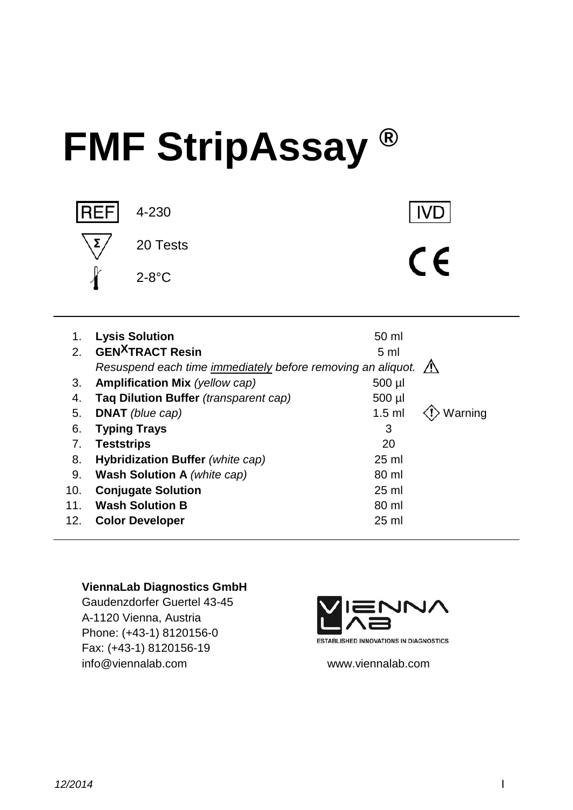# **FMF StripAssay ®**



**IVD** 

 $C \subseteq$ 

# 1. **Lysis Solution** 60 ml 2. **GEN<sup>X</sup>TRACT Resin** 5 ml *Resuspend each time immediately before removing an aliquot.* 3. **Amplification Mix** (yellow cap) 500 µl 4. **Taq Dilution Buffer** *(transparent cap)* 500 µl 5. **DNAT** (blue cap) **1.5 ml**  $\langle \cdot \rangle$  Warning 6. **Typing Trays** 3 7. **Teststrips** 20 8. **Hybridization Buffer** *(white cap)* 25 ml 9. **Wash Solution A** *(white cap)* 80 ml 10. **Conjugate Solution** 25 ml 11. Wash Solution B 80 ml 12. **Color Developer** 25 ml

#### **ViennaLab Diagnostics GmbH**

Gaudenzdorfer Guertel 43-45 A-1120 Vienna, Austria Phone: (+43-1) 8120156-0 Fax: (+43-1) 8120156-19 info@viennalab.com www.viennalab.com

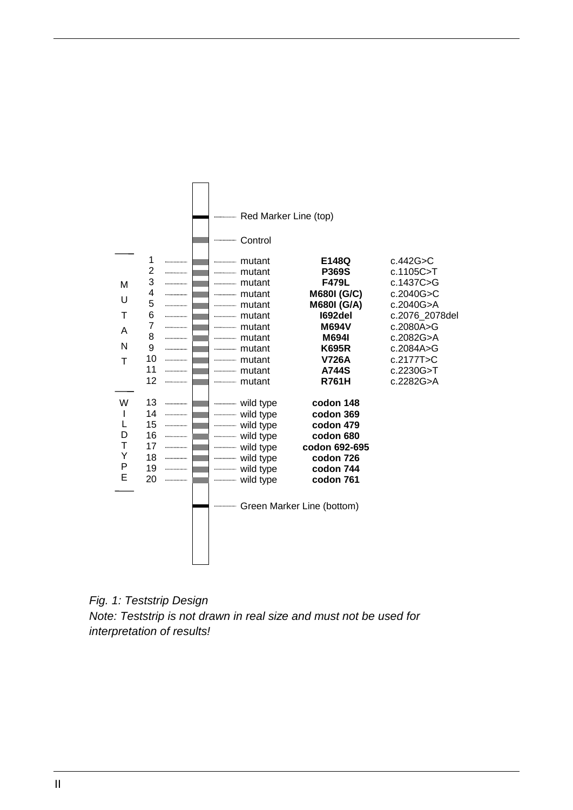

*Fig. 1: Teststrip Design Note: Teststrip is not drawn in real size and must not be used for interpretation of results!*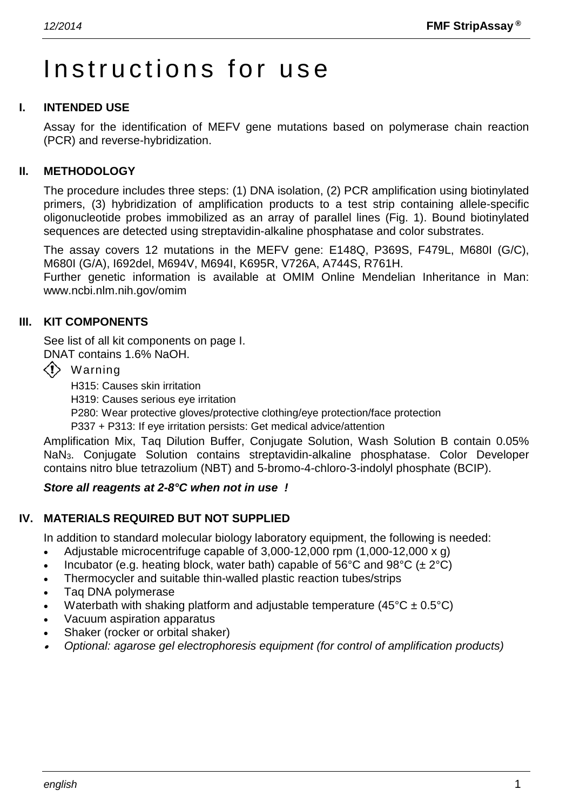# Instructions for use

#### **I. INTENDED USE**

Assay for the identification of MEFV gene mutations based on polymerase chain reaction (PCR) and reverse-hybridization.

#### **II. METHODOLOGY**

The procedure includes three steps: (1) DNA isolation, (2) PCR amplification using biotinylated primers, (3) hybridization of amplification products to a test strip containing allele-specific oligonucleotide probes immobilized as an array of parallel lines (Fig. 1). Bound biotinylated sequences are detected using streptavidin-alkaline phosphatase and color substrates.

The assay covers 12 mutations in the MEFV gene: E148Q, P369S, F479L, M680I (G/C), M680I (G/A), I692del, M694V, M694I, K695R, V726A, A744S, R761H.

Further genetic information is available at OMIM Online Mendelian Inheritance in Man: www.ncbi.nlm.nih.gov/omim

#### **III. KIT COMPONENTS**

See list of all kit components on page I.

DNAT contains 1.6% NaOH.

 $\langle \cdot \rangle$  Warning

H315: Causes skin irritation

H319: Causes serious eye irritation

P280: Wear protective gloves/protective clothing/eye protection/face protection

P337 + P313: If eye irritation persists: Get medical advice/attention

Amplification Mix, Taq Dilution Buffer, Conjugate Solution, Wash Solution B contain 0.05% NaN3. Conjugate Solution contains streptavidin-alkaline phosphatase. Color Developer contains nitro blue tetrazolium (NBT) and 5-bromo-4-chloro-3-indolyl phosphate (BCIP).

#### *Store all reagents at 2-8°C when not in use !*

#### **IV. MATERIALS REQUIRED BUT NOT SUPPLIED**

In addition to standard molecular biology laboratory equipment, the following is needed:

- Adjustable microcentrifuge capable of  $3,000-12,000$  rpm  $(1,000-12,000 \times g)$
- Incubator (e.g. heating block, water bath) capable of 56°C and 98°C ( $\pm 2$ °C)
- Thermocycler and suitable thin-walled plastic reaction tubes/strips
- Taq DNA polymerase
- Waterbath with shaking platform and adjustable temperature ( $45^{\circ}$ C  $\pm$  0.5°C)
- Vacuum aspiration apparatus
- Shaker (rocker or orbital shaker)
- •*Optional: agarose gel electrophoresis equipment (for control of amplification products)*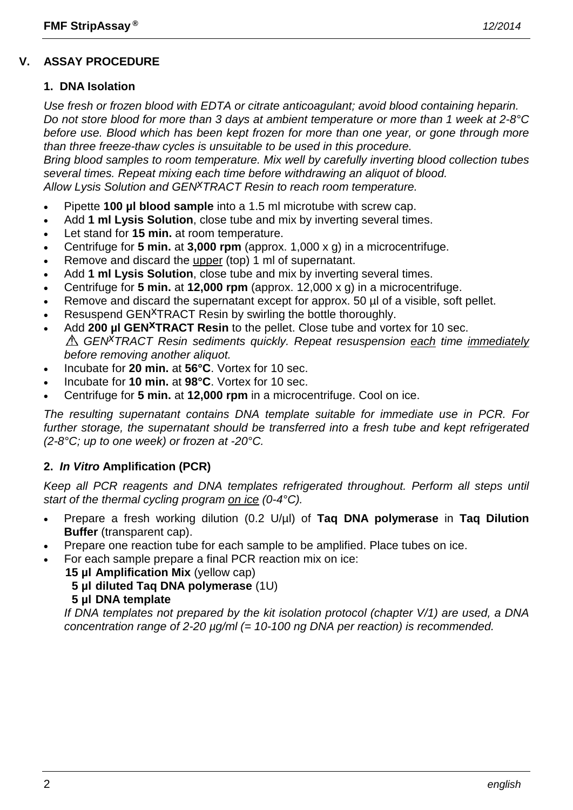# **V. ASSAY PROCEDURE**

#### **1. DNA Isolation**

*Use fresh or frozen blood with EDTA or citrate anticoagulant; avoid blood containing heparin. Do not store blood for more than 3 days at ambient temperature or more than 1 week at 2-8°C before use. Blood which has been kept frozen for more than one year, or gone through more than three freeze-thaw cycles is unsuitable to be used in this procedure.*

*Bring blood samples to room temperature. Mix well by carefully inverting blood collection tubes several times. Repeat mixing each time before withdrawing an aliquot of blood. Allow Lysis Solution and GENxTRACT Resin to reach room temperature.*

- Pipette **100 µl blood sample** into a 1.5 ml microtube with screw cap.
- Add **1 ml Lysis Solution**, close tube and mix by inverting several times.
- Let stand for **15 min.** at room temperature.
- Centrifuge for **5 min.** at **3,000 rpm** (approx. 1,000 x g) in a microcentrifuge.
- Remove and discard the upper (top) 1 ml of supernatant.
- Add **1 ml Lysis Solution**, close tube and mix by inverting several times.
- Centrifuge for **5 min.** at **12,000 rpm** (approx. 12,000 x g) in a microcentrifuge.
- Remove and discard the supernatant except for approx. 50  $\mu$  of a visible, soft pellet.
- Resuspend GEN<sup>X</sup>TRACT Resin by swirling the bottle thoroughly.
- Add **200 µl GEN<sup>X</sup>TRACT Resin** to the pellet. Close tube and vortex for 10 sec. *GENxTRACT Resin sediments quickly. Repeat resuspension each time immediately before removing another aliquot.*
- Incubate for **20 min.** at **56°C**. Vortex for 10 sec.
- Incubate for **10 min.** at **98°C**. Vortex for 10 sec.
- Centrifuge for **5 min.** at **12,000 rpm** in a microcentrifuge. Cool on ice.

*The resulting supernatant contains DNA template suitable for immediate use in PCR. For further storage, the supernatant should be transferred into a fresh tube and kept refrigerated (2-8°C; up to one week) or frozen at -20°C.*

# **2.** *In Vitro* **Amplification (PCR)**

*Keep all PCR reagents and DNA templates refrigerated throughout. Perform all steps until start of the thermal cycling program on ice (0-4°C).*

- Prepare a fresh working dilution (0.2 U/µl) of **Taq DNA polymerase** in **Taq Dilution Buffer** (transparent cap).
- Prepare one reaction tube for each sample to be amplified. Place tubes on ice.
- For each sample prepare a final PCR reaction mix on ice:
	- **15 µl Amplification Mix** (yellow cap)
	- **5 µl diluted Taq DNA polymerase** (1U)

#### **5 µl DNA template**

*If DNA templates not prepared by the kit isolation protocol (chapter V/1) are used, a DNA concentration range of 2-20 µg/ml (= 10-100 ng DNA per reaction) is recommended.*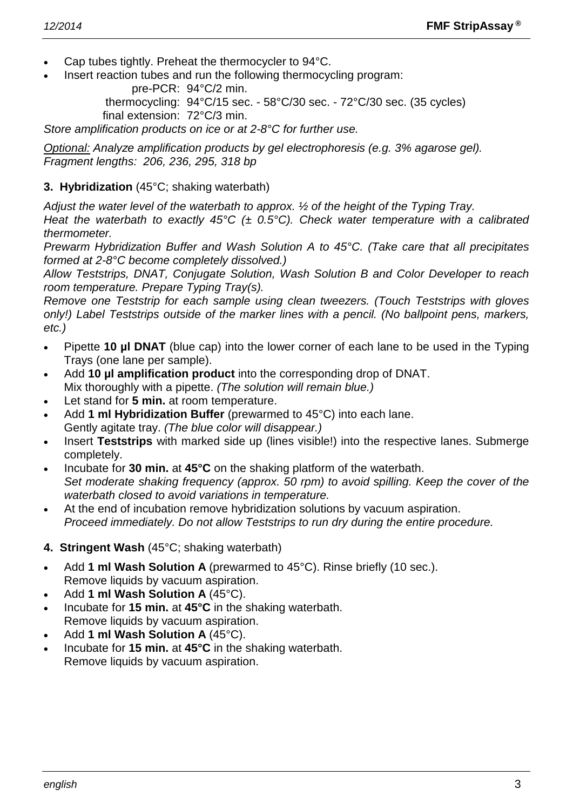- Cap tubes tightly. Preheat the thermocycler to 94°C.
- Insert reaction tubes and run the following thermocycling program:

pre-PCR: 94°C/2 min.

thermocycling: 94°C/15 sec. - 58°C/30 sec. - 72°C/30 sec. (35 cycles) final extension: 72°C/3 min.

*Store amplification products on ice or at 2-8°C for further use.*

*Optional: Analyze amplification products by gel electrophoresis (e.g. 3% agarose gel). Fragment lengths: 206, 236, 295, 318 bp*

#### **3. Hybridization** (45°C; shaking waterbath)

*Adjust the water level of the waterbath to approx. ½ of the height of the Typing Tray.*

*Heat the waterbath to exactly 45°C (± 0.5°C). Check water temperature with a calibrated thermometer.*

*Prewarm Hybridization Buffer and Wash Solution A to 45°C. (Take care that all precipitates formed at 2-8°C become completely dissolved.)*

*Allow Teststrips, DNAT, Conjugate Solution, Wash Solution B and Color Developer to reach room temperature. Prepare Typing Tray(s).*

*Remove one Teststrip for each sample using clean tweezers. (Touch Teststrips with gloves only!) Label Teststrips outside of the marker lines with a pencil. (No ballpoint pens, markers, etc.)*

- Pipette **10 µl DNAT** (blue cap) into the lower corner of each lane to be used in the Typing Trays (one lane per sample).
- Add **10 µl amplification product** into the corresponding drop of DNAT. Mix thoroughly with a pipette. *(The solution will remain blue.)*
- Let stand for 5 min. at room temperature.
- Add **1 ml Hybridization Buffer** (prewarmed to 45°C) into each lane. Gently agitate tray. *(The blue color will disappear.)*
- Insert **Teststrips** with marked side up (lines visible!) into the respective lanes. Submerge completely.
- Incubate for **30 min.** at **45°C** on the shaking platform of the waterbath. *Set moderate shaking frequency (approx. 50 rpm) to avoid spilling. Keep the cover of the waterbath closed to avoid variations in temperature.*
- At the end of incubation remove hybridization solutions by vacuum aspiration. *Proceed immediately. Do not allow Teststrips to run dry during the entire procedure.*
- **4. Stringent Wash** (45°C; shaking waterbath)
- Add **1 ml Wash Solution A** (prewarmed to 45°C). Rinse briefly (10 sec.). Remove liquids by vacuum aspiration.
- Add **1 ml Wash Solution A** (45°C).
- Incubate for **15 min.** at **45°C** in the shaking waterbath. Remove liquids by vacuum aspiration.
- Add **1 ml Wash Solution A** (45°C).
- Incubate for **15 min.** at **45°C** in the shaking waterbath. Remove liquids by vacuum aspiration.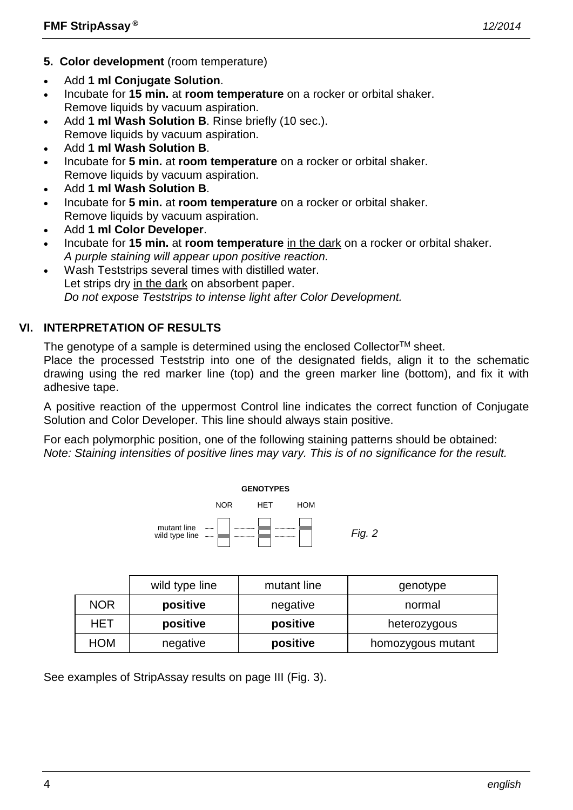- **5. Color development** (room temperature)
- Add **1 ml Conjugate Solution**.
- Incubate for **15 min.** at **room temperature** on a rocker or orbital shaker. Remove liquids by vacuum aspiration.
- Add **1 ml Wash Solution B**. Rinse briefly (10 sec.). Remove liquids by vacuum aspiration.
- Add **1 ml Wash Solution B**.
- Incubate for **5 min.** at **room temperature** on a rocker or orbital shaker. Remove liquids by vacuum aspiration.
- Add **1 ml Wash Solution B**.
- Incubate for **5 min.** at **room temperature** on a rocker or orbital shaker. Remove liquids by vacuum aspiration.
- Add **1 ml Color Developer**.
- Incubate for **15 min.** at **room temperature** in the dark on a rocker or orbital shaker. *A purple staining will appear upon positive reaction.*
- Wash Teststrips several times with distilled water. Let strips dry in the dark on absorbent paper. *Do not expose Teststrips to intense light after Color Development.*

# **VI. INTERPRETATION OF RESULTS**

The genotype of a sample is determined using the enclosed Collector<sup>TM</sup> sheet.

Place the processed Teststrip into one of the designated fields, align it to the schematic drawing using the red marker line (top) and the green marker line (bottom), and fix it with adhesive tape.

A positive reaction of the uppermost Control line indicates the correct function of Conjugate Solution and Color Developer. This line should always stain positive.

For each polymorphic position, one of the following staining patterns should be obtained: *Note: Staining intensities of positive lines may vary. This is of no significance for the result.*



|            | wild type line | mutant line | genotype          |
|------------|----------------|-------------|-------------------|
| <b>NOR</b> | positive       | negative    | normal            |
| HET        | positive       | positive    | heterozygous      |
| HOM        | negative       | positive    | homozygous mutant |

See examples of StripAssay results on page III (Fig. 3).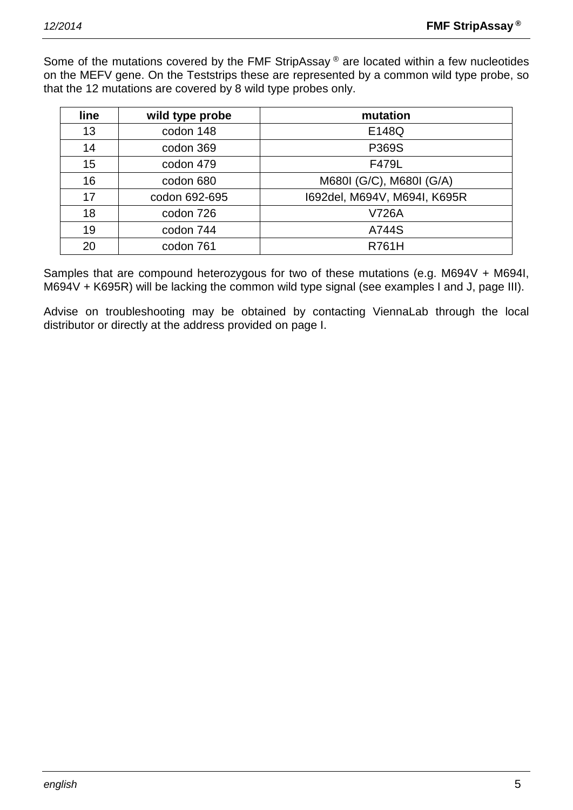Some of the mutations covered by the FMF StripAssay ® are located within a few nucleotides on the MEFV gene. On the Teststrips these are represented by a common wild type probe, so that the 12 mutations are covered by 8 wild type probes only.

| <b>line</b> | wild type probe | mutation                     |
|-------------|-----------------|------------------------------|
| 13          | codon 148       | E148Q                        |
| 14          | codon 369       | P369S                        |
| 15          | codon 479       | F479L                        |
| 16          | codon 680       | M680I (G/C), M680I (G/A)     |
| 17          | codon 692-695   | 1692del, M694V, M694I, K695R |
| 18          | codon 726       | <b>V726A</b>                 |
| 19          | codon 744       | A744S                        |
| 20          | codon 761       | <b>R761H</b>                 |

Samples that are compound heterozygous for two of these mutations (e.g. M694V + M694I, M694V + K695R) will be lacking the common wild type signal (see examples I and J, page III).

Advise on troubleshooting may be obtained by contacting ViennaLab through the local distributor or directly at the address provided on page I.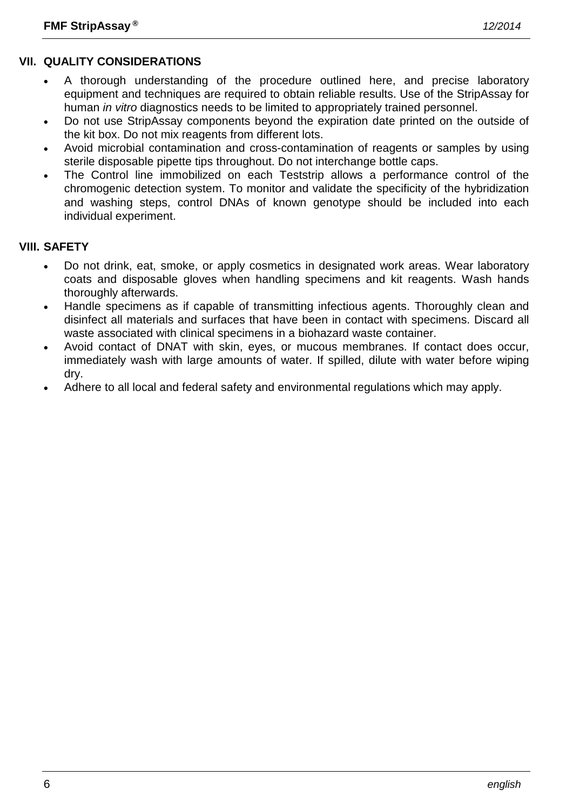# **VII. QUALITY CONSIDERATIONS**

- A thorough understanding of the procedure outlined here, and precise laboratory equipment and techniques are required to obtain reliable results. Use of the StripAssay for human *in vitro* diagnostics needs to be limited to appropriately trained personnel.
- Do not use StripAssay components beyond the expiration date printed on the outside of the kit box. Do not mix reagents from different lots.
- Avoid microbial contamination and cross-contamination of reagents or samples by using sterile disposable pipette tips throughout. Do not interchange bottle caps.
- The Control line immobilized on each Teststrip allows a performance control of the chromogenic detection system. To monitor and validate the specificity of the hybridization and washing steps, control DNAs of known genotype should be included into each individual experiment.

# **VIII. SAFETY**

- Do not drink, eat, smoke, or apply cosmetics in designated work areas. Wear laboratory coats and disposable gloves when handling specimens and kit reagents. Wash hands thoroughly afterwards.
- Handle specimens as if capable of transmitting infectious agents. Thoroughly clean and disinfect all materials and surfaces that have been in contact with specimens. Discard all waste associated with clinical specimens in a biohazard waste container.
- Avoid contact of DNAT with skin, eyes, or mucous membranes. If contact does occur, immediately wash with large amounts of water. If spilled, dilute with water before wiping dry.
- Adhere to all local and federal safety and environmental regulations which may apply.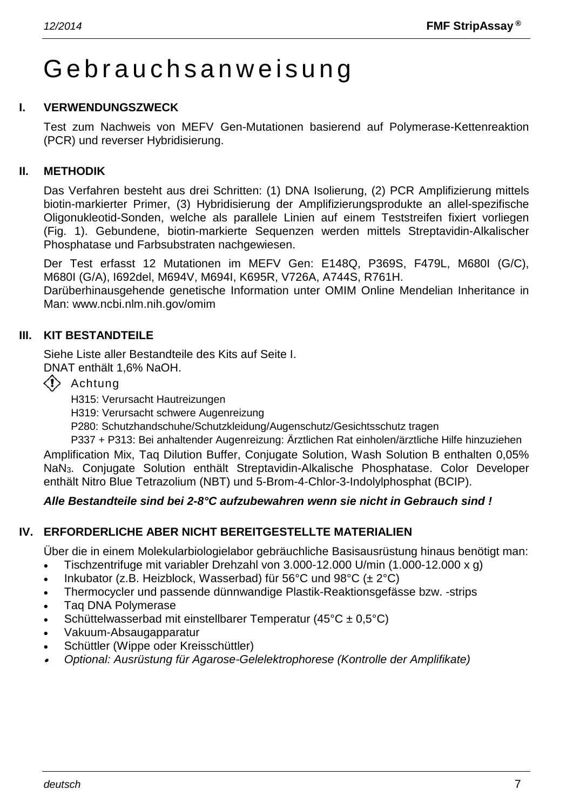# Gebrauchsanweisung

#### **I. VERWENDUNGSZWECK**

Test zum Nachweis von MEFV Gen-Mutationen basierend auf Polymerase-Kettenreaktion (PCR) und reverser Hybridisierung.

#### **II. METHODIK**

Das Verfahren besteht aus drei Schritten: (1) DNA Isolierung, (2) PCR Amplifizierung mittels biotin-markierter Primer, (3) Hybridisierung der Amplifizierungsprodukte an allel-spezifische Oligonukleotid-Sonden, welche als parallele Linien auf einem Teststreifen fixiert vorliegen (Fig. 1). Gebundene, biotin-markierte Sequenzen werden mittels Streptavidin-Alkalischer Phosphatase und Farbsubstraten nachgewiesen.

Der Test erfasst 12 Mutationen im MEFV Gen: E148Q, P369S, F479L, M680I (G/C), M680I (G/A), I692del, M694V, M694I, K695R, V726A, A744S, R761H.

Darüberhinausgehende genetische Information unter OMIM Online Mendelian Inheritance in Man: www.ncbi.nlm.nih.gov/omim

#### **III. KIT BESTANDTEILE**

Siehe Liste aller Bestandteile des Kits auf Seite I.

DNAT enthält 1,6% NaOH.

 $\langle \cdot \rangle$  Achtung

H315: Verursacht Hautreizungen

H319: Verursacht schwere Augenreizung

P280: Schutzhandschuhe/Schutzkleidung/Augenschutz/Gesichtsschutz tragen

P337 + P313: Bei anhaltender Augenreizung: Ärztlichen Rat einholen/ärztliche Hilfe hinzuziehen Amplification Mix, Taq Dilution Buffer, Conjugate Solution, Wash Solution B enthalten 0,05% NaN3. Conjugate Solution enthält Streptavidin-Alkalische Phosphatase. Color Developer enthält Nitro Blue Tetrazolium (NBT) und 5-Brom-4-Chlor-3-Indolylphosphat (BCIP).

#### *Alle Bestandteile sind bei 2-8°C aufzubewahren wenn sie nicht in Gebrauch sind !*

#### **IV. ERFORDERLICHE ABER NICHT BEREITGESTELLTE MATERIALIEN**

Über die in einem Molekularbiologielabor gebräuchliche Basisausrüstung hinaus benötigt man:

- Tischzentrifuge mit variabler Drehzahl von 3.000-12.000 U/min (1.000-12.000 x g)
- Inkubator (z.B. Heizblock, Wasserbad) für 56°C und 98°C ( $\pm 2$ °C)
- Thermocycler und passende dünnwandige Plastik-Reaktionsgefässe bzw. -strips
- Taq DNA Polymerase
- Schüttelwasserbad mit einstellbarer Temperatur (45°C ± 0,5°C)
- Vakuum-Absaugapparatur
- Schüttler (Wippe oder Kreisschüttler)
- •*Optional: Ausrüstung für Agarose-Gelelektrophorese (Kontrolle der Amplifikate)*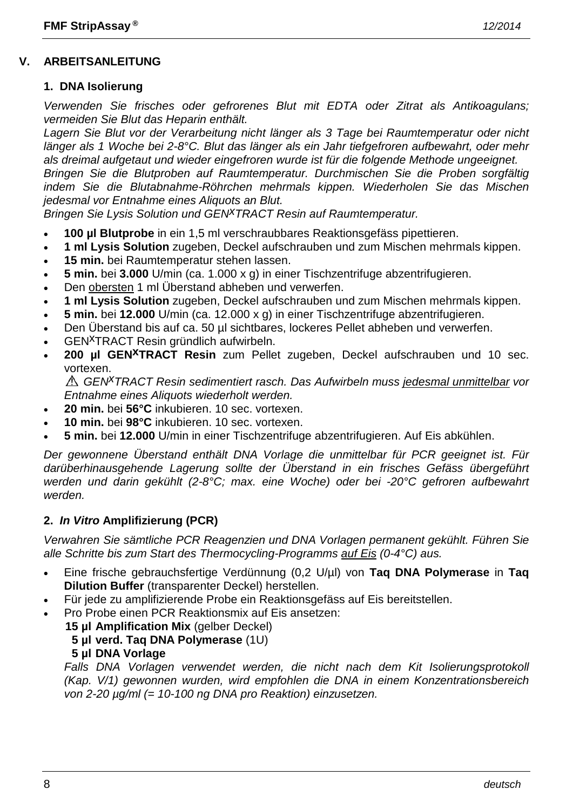## **V. ARBEITSANLEITUNG**

#### **1. DNA Isolierung**

*Verwenden Sie frisches oder gefrorenes Blut mit EDTA oder Zitrat als Antikoagulans; vermeiden Sie Blut das Heparin enthält.*

*Lagern Sie Blut vor der Verarbeitung nicht länger als 3 Tage bei Raumtemperatur oder nicht länger als 1 Woche bei 2-8°C. Blut das länger als ein Jahr tiefgefroren aufbewahrt, oder mehr als dreimal aufgetaut und wieder eingefroren wurde ist für die folgende Methode ungeeignet. Bringen Sie die Blutproben auf Raumtemperatur. Durchmischen Sie die Proben sorgfältig indem Sie die Blutabnahme-Röhrchen mehrmals kippen. Wiederholen Sie das Mischen* 

*jedesmal vor Entnahme eines Aliquots an Blut.*

*Bringen Sie Lysis Solution und GENxTRACT Resin auf Raumtemperatur.*

- **100 µl Blutprobe** in ein 1,5 ml verschraubbares Reaktionsgefäss pipettieren.
- **1 ml Lysis Solution** zugeben, Deckel aufschrauben und zum Mischen mehrmals kippen.
- **15 min.** bei Raumtemperatur stehen lassen.
- **5 min.** bei **3.000** U/min (ca. 1.000 x g) in einer Tischzentrifuge abzentrifugieren.
- Den obersten 1 ml Überstand abheben und verwerfen.
- **1 ml Lysis Solution** zugeben, Deckel aufschrauben und zum Mischen mehrmals kippen.
- **5 min.** bei **12.000** U/min (ca. 12.000 x g) in einer Tischzentrifuge abzentrifugieren.
- Den Überstand bis auf ca. 50 µl sichtbares, lockeres Pellet abheben und verwerfen.
- GENxTRACT Resin gründlich aufwirbeln.
- **200 µl GENxTRACT Resin** zum Pellet zugeben, Deckel aufschrauben und 10 sec. vortexen.

*GENxTRACT Resin sedimentiert rasch. Das Aufwirbeln muss jedesmal unmittelbar vor Entnahme eines Aliquots wiederholt werden.*

- **20 min.** bei **56°C** inkubieren. 10 sec. vortexen.
- **10 min.** bei **98°C** inkubieren. 10 sec. vortexen.
- **5 min.** bei **12.000** U/min in einer Tischzentrifuge abzentrifugieren. Auf Eis abkühlen.

*Der gewonnene Überstand enthält DNA Vorlage die unmittelbar für PCR geeignet ist. Für darüberhinausgehende Lagerung sollte der Überstand in ein frisches Gefäss übergeführt werden und darin gekühlt (2-8°C; max. eine Woche) oder bei -20°C gefroren aufbewahrt werden.*

#### **2.** *In Vitro* **Amplifizierung (PCR)**

*Verwahren Sie sämtliche PCR Reagenzien und DNA Vorlagen permanent gekühlt. Führen Sie alle Schritte bis zum Start des Thermocycling-Programms auf Eis (0-4°C) aus.*

- Eine frische gebrauchsfertige Verdünnung (0,2 U/µl) von **Taq DNA Polymerase** in **Taq Dilution Buffer** (transparenter Deckel) herstellen.
- Für jede zu amplifizierende Probe ein Reaktionsgefäss auf Eis bereitstellen.
- Pro Probe einen PCR Reaktionsmix auf Eis ansetzen:
	- **15 µl Amplification Mix** (gelber Deckel)
		- **5 µl verd. Taq DNA Polymerase** (1U)
		- **5 µl DNA Vorlage**

*Falls DNA Vorlagen verwendet werden, die nicht nach dem Kit Isolierungsprotokoll (Kap. V/1) gewonnen wurden, wird empfohlen die DNA in einem Konzentrationsbereich von 2-20 µg/ml (= 10-100 ng DNA pro Reaktion) einzusetzen.*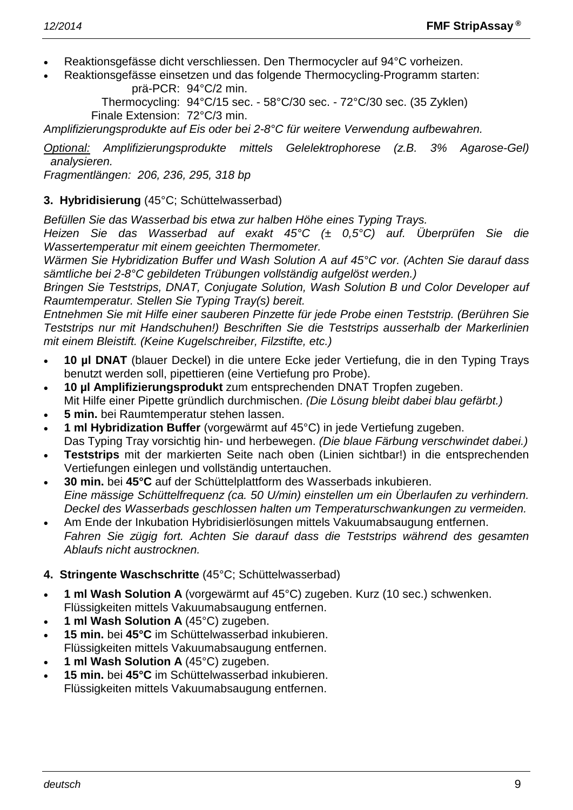- Reaktionsgefässe dicht verschliessen. Den Thermocycler auf 94°C vorheizen.
- Reaktionsgefässe einsetzen und das folgende Thermocycling-Programm starten: prä-PCR: 94°C/2 min.

Thermocycling: 94°C/15 sec. - 58°C/30 sec. - 72°C/30 sec. (35 Zyklen) Finale Extension: 72°C/3 min.

*Amplifizierungsprodukte auf Eis oder bei 2-8°C für weitere Verwendung aufbewahren.*

*Optional: Amplifizierungsprodukte mittels Gelelektrophorese (z.B. 3% Agarose-Gel) analysieren.*

*Fragmentlängen: 206, 236, 295, 318 bp*

# **3. Hybridisierung** (45°C; Schüttelwasserbad)

*Befüllen Sie das Wasserbad bis etwa zur halben Höhe eines Typing Trays.*

*Heizen Sie das Wasserbad auf exakt 45°C (± 0,5°C) auf. Überprüfen Sie die Wassertemperatur mit einem geeichten Thermometer.*

*Wärmen Sie Hybridization Buffer und Wash Solution A auf 45°C vor. (Achten Sie darauf dass sämtliche bei 2-8°C gebildeten Trübungen vollständig aufgelöst werden.)*

*Bringen Sie Teststrips, DNAT, Conjugate Solution, Wash Solution B und Color Developer auf Raumtemperatur. Stellen Sie Typing Tray(s) bereit.*

*Entnehmen Sie mit Hilfe einer sauberen Pinzette für jede Probe einen Teststrip. (Berühren Sie Teststrips nur mit Handschuhen!) Beschriften Sie die Teststrips ausserhalb der Markerlinien mit einem Bleistift. (Keine Kugelschreiber, Filzstifte, etc.)*

- **10 µl DNAT** (blauer Deckel) in die untere Ecke jeder Vertiefung, die in den Typing Trays benutzt werden soll, pipettieren (eine Vertiefung pro Probe).
- **10 µl Amplifizierungsprodukt** zum entsprechenden DNAT Tropfen zugeben. Mit Hilfe einer Pipette gründlich durchmischen. *(Die Lösung bleibt dabei blau gefärbt.)*
- **5 min.** bei Raumtemperatur stehen lassen.
- **1 ml Hybridization Buffer** (vorgewärmt auf 45°C) in jede Vertiefung zugeben. Das Typing Tray vorsichtig hin- und herbewegen. *(Die blaue Färbung verschwindet dabei.)*
- **Teststrips** mit der markierten Seite nach oben (Linien sichtbar!) in die entsprechenden Vertiefungen einlegen und vollständig untertauchen.
- **30 min.** bei **45°C** auf der Schüttelplattform des Wasserbads inkubieren. *Eine mässige Schüttelfrequenz (ca. 50 U/min) einstellen um ein Überlaufen zu verhindern. Deckel des Wasserbads geschlossen halten um Temperaturschwankungen zu vermeiden.*
- Am Ende der Inkubation Hybridisierlösungen mittels Vakuumabsaugung entfernen. *Fahren Sie zügig fort. Achten Sie darauf dass die Teststrips während des gesamten Ablaufs nicht austrocknen.*

# **4. Stringente Waschschritte** (45°C; Schüttelwasserbad)

- **1 ml Wash Solution A** (vorgewärmt auf 45°C) zugeben. Kurz (10 sec.) schwenken. Flüssigkeiten mittels Vakuumabsaugung entfernen.
- **1 ml Wash Solution A** (45°C) zugeben.
- **15 min.** bei **45°C** im Schüttelwasserbad inkubieren. Flüssigkeiten mittels Vakuumabsaugung entfernen.
- **1 ml Wash Solution A** (45°C) zugeben.
- **15 min.** bei **45°C** im Schüttelwasserbad inkubieren. Flüssigkeiten mittels Vakuumabsaugung entfernen.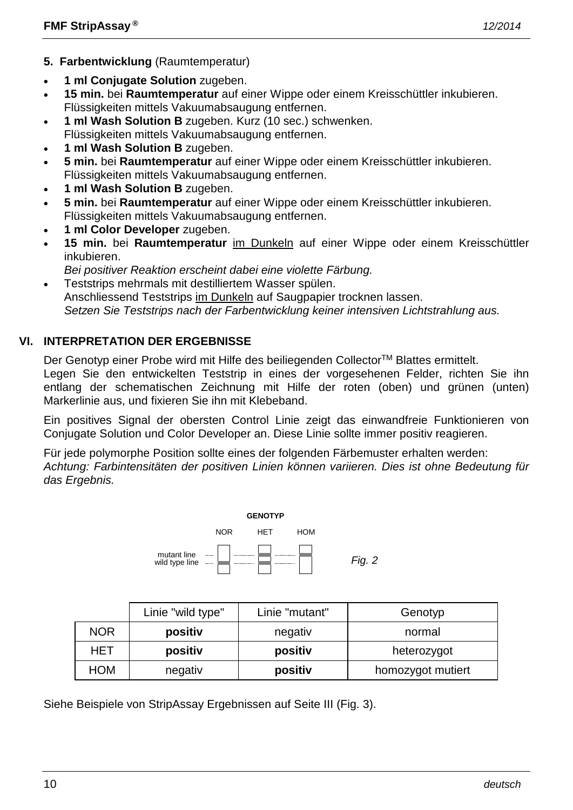- **5. Farbentwicklung** (Raumtemperatur)
- **1 ml Conjugate Solution** zugeben.
- **15 min.** bei **Raumtemperatur** auf einer Wippe oder einem Kreisschüttler inkubieren. Flüssigkeiten mittels Vakuumabsaugung entfernen.
- **1 ml Wash Solution B** zugeben. Kurz (10 sec.) schwenken. Flüssigkeiten mittels Vakuumabsaugung entfernen.
- **1 ml Wash Solution B** zugeben.
- **5 min.** bei **Raumtemperatur** auf einer Wippe oder einem Kreisschüttler inkubieren. Flüssigkeiten mittels Vakuumabsaugung entfernen.
- **1 ml Wash Solution B** zugeben.
- **5 min.** bei **Raumtemperatur** auf einer Wippe oder einem Kreisschüttler inkubieren. Flüssigkeiten mittels Vakuumabsaugung entfernen.
- **1 ml Color Developer** zugeben.
- **15 min.** bei **Raumtemperatur** im Dunkeln auf einer Wippe oder einem Kreisschüttler inkubieren.
- *Bei positiver Reaktion erscheint dabei eine violette Färbung.*
- Teststrips mehrmals mit destilliertem Wasser spülen. Anschliessend Teststrips im Dunkeln auf Saugpapier trocknen lassen. *Setzen Sie Teststrips nach der Farbentwicklung keiner intensiven Lichtstrahlung aus.*

# **VI. INTERPRETATION DER ERGEBNISSE**

Der Genotyp einer Probe wird mit Hilfe des beiliegenden Collector™ Blattes ermittelt. Legen Sie den entwickelten Teststrip in eines der vorgesehenen Felder, richten Sie ihn entlang der schematischen Zeichnung mit Hilfe der roten (oben) und grünen (unten) Markerlinie aus, und fixieren Sie ihn mit Klebeband.

Ein positives Signal der obersten Control Linie zeigt das einwandfreie Funktionieren von Conjugate Solution und Color Developer an. Diese Linie sollte immer positiv reagieren.

Für jede polymorphe Position sollte eines der folgenden Färbemuster erhalten werden: *Achtung: Farbintensitäten der positiven Linien können variieren. Dies ist ohne Bedeutung für das Ergebnis.*



|            | Linie "wild type" | Linie "mutant" | Genotyp           |
|------------|-------------------|----------------|-------------------|
| <b>NOR</b> | positiv           | negativ        | normal            |
| HET        | positiv           | positiv        | heterozygot       |
| HOM        | negativ           | positiv        | homozygot mutiert |

Siehe Beispiele von StripAssay Ergebnissen auf Seite III (Fig. 3).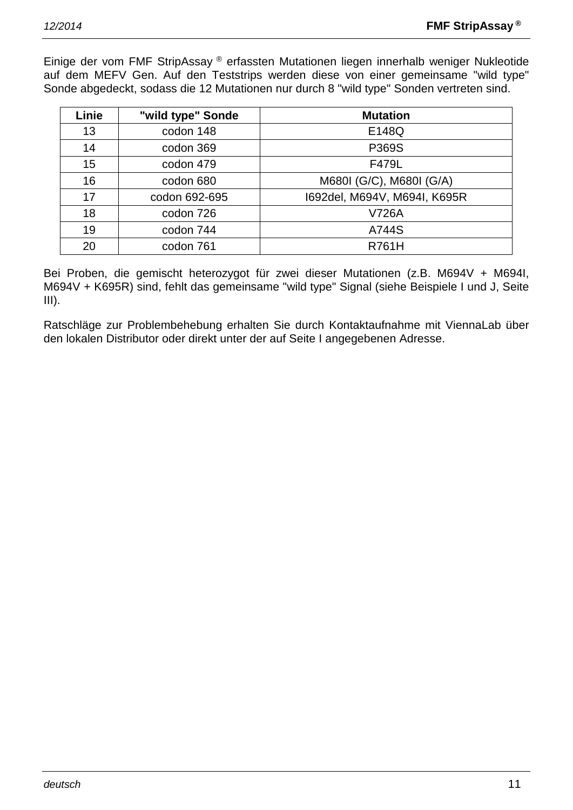Einige der vom FMF StripAssay ® erfassten Mutationen liegen innerhalb weniger Nukleotide auf dem MEFV Gen. Auf den Teststrips werden diese von einer gemeinsame "wild type" Sonde abgedeckt, sodass die 12 Mutationen nur durch 8 "wild type" Sonden vertreten sind.

| Linie | "wild type" Sonde | <b>Mutation</b>              |
|-------|-------------------|------------------------------|
| 13    | codon 148         | E148Q                        |
| 14    | codon 369         | P369S                        |
| 15    | codon 479         | F479L                        |
| 16    | codon 680         | M680I (G/C), M680I (G/A)     |
| 17    | codon 692-695     | 1692del, M694V, M694I, K695R |
| 18    | codon 726         | V726A                        |
| 19    | codon 744         | A744S                        |
| 20    | codon 761         | <b>R761H</b>                 |

Bei Proben, die gemischt heterozygot für zwei dieser Mutationen (z.B. M694V + M694I, M694V + K695R) sind, fehlt das gemeinsame "wild type" Signal (siehe Beispiele I und J, Seite  $III$ ).

Ratschläge zur Problembehebung erhalten Sie durch Kontaktaufnahme mit ViennaLab über den lokalen Distributor oder direkt unter der auf Seite I angegebenen Adresse.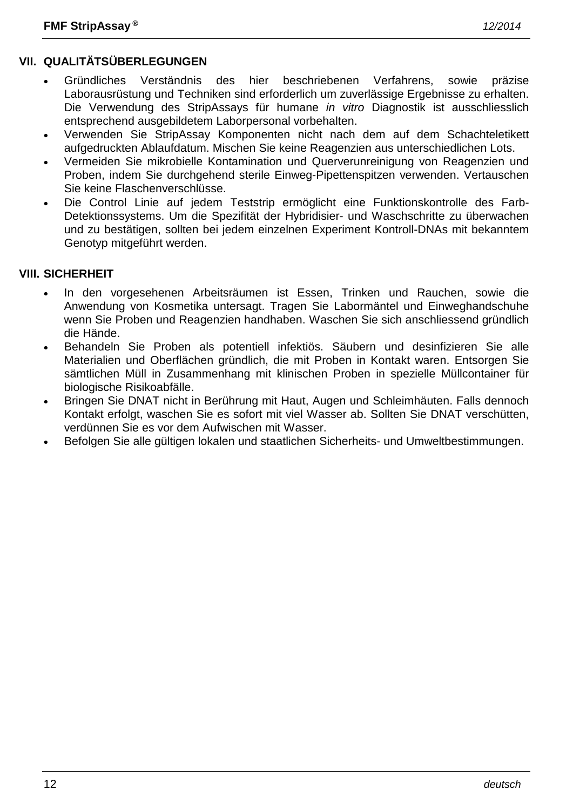- Gründliches Verständnis des hier beschriebenen Verfahrens, sowie präzise Laborausrüstung und Techniken sind erforderlich um zuverlässige Ergebnisse zu erhalten. Die Verwendung des StripAssays für humane *in vitro* Diagnostik ist ausschliesslich entsprechend ausgebildetem Laborpersonal vorbehalten.
- Verwenden Sie StripAssay Komponenten nicht nach dem auf dem Schachteletikett aufgedruckten Ablaufdatum. Mischen Sie keine Reagenzien aus unterschiedlichen Lots.
- Vermeiden Sie mikrobielle Kontamination und Querverunreinigung von Reagenzien und Proben, indem Sie durchgehend sterile Einweg-Pipettenspitzen verwenden. Vertauschen Sie keine Flaschenverschlüsse.
- Die Control Linie auf jedem Teststrip ermöglicht eine Funktionskontrolle des Farb-Detektionssystems. Um die Spezifität der Hybridisier- und Waschschritte zu überwachen und zu bestätigen, sollten bei jedem einzelnen Experiment Kontroll-DNAs mit bekanntem Genotyp mitgeführt werden.

# **VIII. SICHERHEIT**

- In den vorgesehenen Arbeitsräumen ist Essen, Trinken und Rauchen, sowie die Anwendung von Kosmetika untersagt. Tragen Sie Labormäntel und Einweghandschuhe wenn Sie Proben und Reagenzien handhaben. Waschen Sie sich anschliessend gründlich die Hände.
- Behandeln Sie Proben als potentiell infektiös. Säubern und desinfizieren Sie alle Materialien und Oberflächen gründlich, die mit Proben in Kontakt waren. Entsorgen Sie sämtlichen Müll in Zusammenhang mit klinischen Proben in spezielle Müllcontainer für biologische Risikoabfälle.
- Bringen Sie DNAT nicht in Berührung mit Haut, Augen und Schleimhäuten. Falls dennoch Kontakt erfolgt, waschen Sie es sofort mit viel Wasser ab. Sollten Sie DNAT verschütten, verdünnen Sie es vor dem Aufwischen mit Wasser.
- Befolgen Sie alle gültigen lokalen und staatlichen Sicherheits- und Umweltbestimmungen.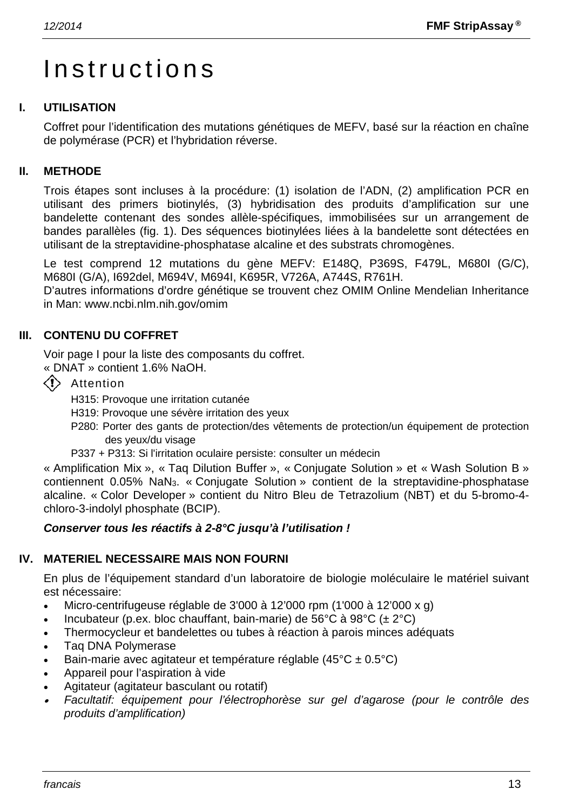# Instructions

# **I. UTILISATION**

Coffret pour l'identification des mutations génétiques de MEFV, basé sur la réaction en chaîne de polymérase (PCR) et l'hybridation réverse.

# **II. METHODE**

Trois étapes sont incluses à la procédure: (1) isolation de l'ADN, (2) amplification PCR en utilisant des primers biotinylés, (3) hybridisation des produits d'amplification sur une bandelette contenant des sondes allèle-spécifiques, immobilisées sur un arrangement de bandes parallèles (fig. 1). Des séquences biotinylées liées à la bandelette sont détectées en utilisant de la streptavidine-phosphatase alcaline et des substrats chromogènes.

Le test comprend 12 mutations du gène MEFV: E148Q, P369S, F479L, M680I (G/C), M680I (G/A), I692del, M694V, M694I, K695R, V726A, A744S, R761H.

D'autres informations d'ordre génétique se trouvent chez OMIM Online Mendelian Inheritance in Man: www.ncbi.nlm.nih.gov/omim

# **III. CONTENU DU COFFRET**

Voir page I pour la liste des composants du coffret.

- « DNAT » contient 1.6% NaOH.
- $\langle \cdot \rangle$  Attention

H315: Provoque une irritation cutanée

- H319: Provoque une sévère irritation des yeux
- P280: Porter des gants de protection/des vêtements de protection/un équipement de protection des yeux/du visage
- P337 + P313: Si l'irritation oculaire persiste: consulter un médecin

« Amplification Mix », « Taq Dilution Buffer », « Conjugate Solution » et « Wash Solution B » contiennent 0.05% NaN3. « Conjugate Solution » contient de la streptavidine-phosphatase alcaline. « Color Developer » contient du Nitro Bleu de Tetrazolium (NBT) et du 5-bromo-4 chloro-3-indolyl phosphate (BCIP).

#### *Conserver tous les réactifs à 2-8°C jusqu'à l'utilisation !*

#### **IV. MATERIEL NECESSAIRE MAIS NON FOURNI**

En plus de l'équipement standard d'un laboratoire de biologie moléculaire le matériel suivant est nécessaire:

- Micro-centrifugeuse réglable de 3'000 à 12'000 rpm (1'000 à 12'000 x g)
- Incubateur (p.ex. bloc chauffant, bain-marie) de 56°C à 98°C ( $\pm$  2°C)
- Thermocycleur et bandelettes ou tubes à réaction à parois minces adéquats
- Taq DNA Polymerase
- Bain-marie avec agitateur et température réglable  $(45^{\circ}C \pm 0.5^{\circ}C)$
- Appareil pour l'aspiration à vide
- Agitateur (agitateur basculant ou rotatif)
- • *Facultatif: équipement pour l'électrophorèse sur gel d'agarose (pour le contrôle des produits d'amplification)*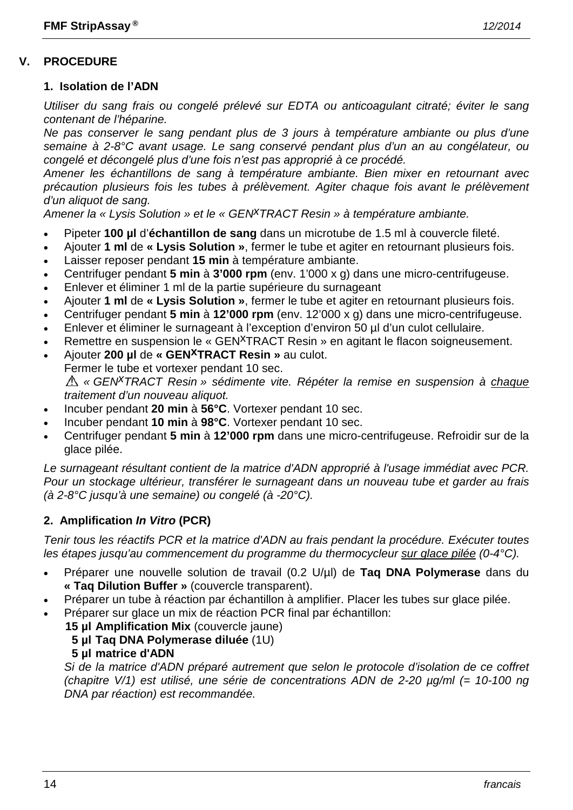# **V. PROCEDURE**

#### **1. Isolation de l'ADN**

*Utiliser du sang frais ou congelé prélevé sur EDTA ou anticoagulant citraté; éviter le sang contenant de l'héparine.*

*Ne pas conserver le sang pendant plus de 3 jours à température ambiante ou plus d'une semaine à 2-8°C avant usage. Le sang conservé pendant plus d'un an au congélateur, ou congelé et décongelé plus d'une fois n'est pas approprié à ce procédé.*

*Amener les échantillons de sang à température ambiante. Bien mixer en retournant avec précaution plusieurs fois les tubes à prélèvement. Agiter chaque fois avant le prélèvement d'un aliquot de sang.*

*Amener la « Lysis Solution » et le « GENxTRACT Resin » à température ambiante.*

- Pipeter **100 µl** d'**échantillon de sang** dans un microtube de 1.5 ml à couvercle fileté.
- Ajouter **1 ml** de **« Lysis Solution »**, fermer le tube et agiter en retournant plusieurs fois.
- Laisser reposer pendant **15 min** à température ambiante.
- Centrifuger pendant **5 min** à **3'000 rpm** (env. 1'000 x g) dans une micro-centrifugeuse.
- Enlever et éliminer 1 ml de la partie supérieure du surnageant
- Ajouter **1 ml** de **« Lysis Solution »**, fermer le tube et agiter en retournant plusieurs fois.
- Centrifuger pendant **5 min** à **12'000 rpm** (env. 12'000 x g) dans une micro-centrifugeuse.
- Enlever et éliminer le surnageant à l'exception d'environ 50 µl d'un culot cellulaire.
- Remettre en suspension le « GEN<sup>X</sup>TRACT Resin » en agitant le flacon soigneusement.
- Ajouter **200 µl** de **« GENxTRACT Resin »** au culot. Fermer le tube et vortexer pendant 10 sec. *« GENxTRACT Resin » sédimente vite. Répéter la remise en suspension à chaque traitement d'un nouveau aliquot.*
- Incuber pendant **20 min** à **56°C**. Vortexer pendant 10 sec.
- Incuber pendant **10 min** à **98°C**. Vortexer pendant 10 sec.
- Centrifuger pendant **5 min** à **12'000 rpm** dans une micro-centrifugeuse. Refroidir sur de la glace pilée.

*Le surnageant résultant contient de la matrice d'ADN approprié à l'usage immédiat avec PCR. Pour un stockage ultérieur, transférer le surnageant dans un nouveau tube et garder au frais (à 2-8°C jusqu'à une semaine) ou congelé (à -20°C).*

#### **2. Amplification** *In Vitro* **(PCR)**

*Tenir tous les réactifs PCR et la matrice d'ADN au frais pendant la procédure. Exécuter toutes les étapes jusqu'au commencement du programme du thermocycleur sur glace pilée (0-4°C).*

- Préparer une nouvelle solution de travail (0.2 U/µl) de **Taq DNA Polymerase** dans du **« Taq Dilution Buffer »** (couvercle transparent).
- Préparer un tube à réaction par échantillon à amplifier. Placer les tubes sur glace pilée.
- Préparer sur glace un mix de réaction PCR final par échantillon:

**15 µl Amplification Mix** (couvercle jaune)

- **5 µl Taq DNA Polymerase diluée** (1U)
- **5 µl matrice d'ADN**

*Si de la matrice d'ADN préparé autrement que selon le protocole d'isolation de ce coffret (chapitre V/1) est utilisé, une série de concentrations ADN de 2-20 µg/ml (= 10-100 ng DNA par réaction) est recommandée.*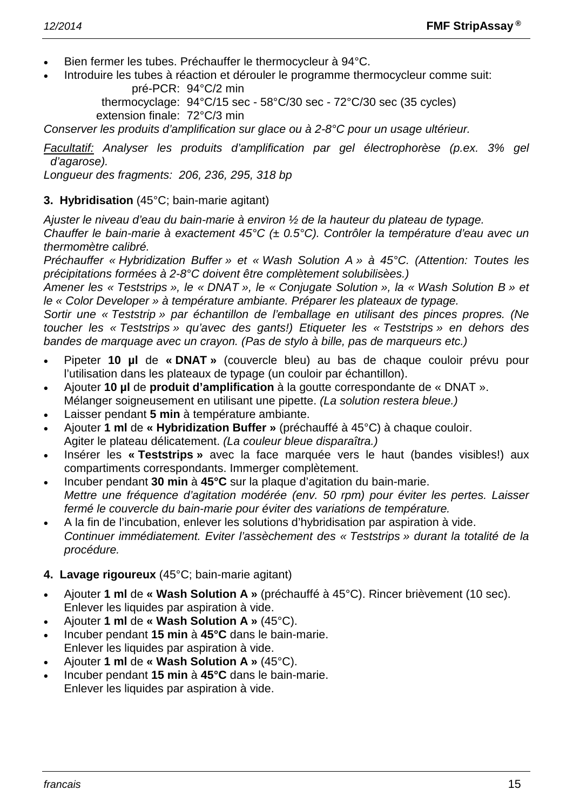- Bien fermer les tubes. Préchauffer le thermocycleur à 94°C.
- Introduire les tubes à réaction et dérouler le programme thermocycleur comme suit:

pré-PCR: 94°C/2 min thermocyclage: 94°C/15 sec - 58°C/30 sec - 72°C/30 sec (35 cycles) extension finale: 72°C/3 min

*Conserver les produits d'amplification sur glace ou à 2-8°C pour un usage ultérieur.*

*Facultatif: Analyser les produits d'amplification par gel électrophorèse (p.ex. 3% gel d'agarose).*

*Longueur des fragments: 206, 236, 295, 318 bp*

#### **3. Hybridisation** (45°C; bain-marie agitant)

*Ajuster le niveau d'eau du bain-marie à environ ½ de la hauteur du plateau de typage.*

*Chauffer le bain-marie à exactement 45°C (± 0.5°C). Contrôler la température d'eau avec un thermomètre calibré.*

*Préchauffer « Hybridization Buffer » et « Wash Solution A » à 45°C. (Attention: Toutes les précipitations formées à 2-8°C doivent être complètement solubilisèes.)*

*Amener les « Teststrips », le « DNAT », le « Conjugate Solution », la « Wash Solution B » et le « Color Developer » à température ambiante. Préparer les plateaux de typage.*

*Sortir une « Teststrip » par échantillon de l'emballage en utilisant des pinces propres. (Ne toucher les « Teststrips » qu'avec des gants!) Etiqueter les « Teststrips » en dehors des bandes de marquage avec un crayon. (Pas de stylo à bille, pas de marqueurs etc.)*

- Pipeter **10 µl** de **« DNAT »** (couvercle bleu) au bas de chaque couloir prévu pour l'utilisation dans les plateaux de typage (un couloir par échantillon).
- Ajouter **10 µl** de **produit d'amplification** à la goutte correspondante de « DNAT ». Mélanger soigneusement en utilisant une pipette. *(La solution restera bleue.)*
- Laisser pendant **5 min** à température ambiante.
- Ajouter **1 ml** de **« Hybridization Buffer »** (préchauffé à 45°C) à chaque couloir. Agiter le plateau délicatement. *(La couleur bleue disparaîtra.)*
- Insérer les **« Teststrips »** avec la face marquée vers le haut (bandes visibles!) aux compartiments correspondants. Immerger complètement.
- Incuber pendant **30 min** à **45°C** sur la plaque d'agitation du bain-marie. *Mettre une fréquence d'agitation modérée (env. 50 rpm) pour éviter les pertes. Laisser fermé le couvercle du bain-marie pour éviter des variations de température.*
- A la fin de l'incubation, enlever les solutions d'hybridisation par aspiration à vide. *Continuer immédiatement. Eviter l'assèchement des « Teststrips » durant la totalité de la procédure.*

# **4. Lavage rigoureux** (45°C; bain-marie agitant)

- Ajouter **1 ml** de **« Wash Solution A »** (préchauffé à 45°C). Rincer brièvement (10 sec). Enlever les liquides par aspiration à vide.
- Ajouter **1 ml** de **« Wash Solution A »** (45°C).
- Incuber pendant **15 min** à **45°C** dans le bain-marie. Enlever les liquides par aspiration à vide.
- Ajouter **1 ml** de **« Wash Solution A »** (45°C).
- Incuber pendant **15 min** à **45°C** dans le bain-marie. Enlever les liquides par aspiration à vide.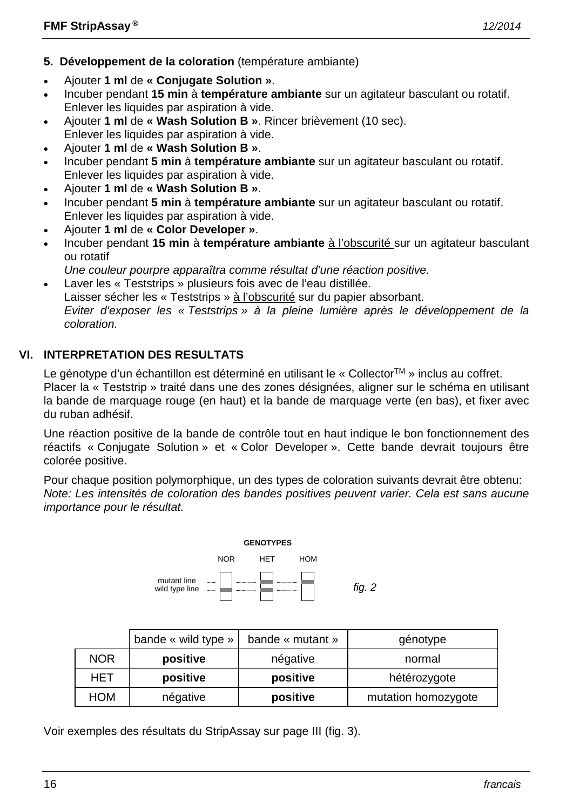- **5. Développement de la coloration** (température ambiante)
- Ajouter **1 ml** de **« Conjugate Solution »**.
- Incuber pendant **15 min** à **température ambiante** sur un agitateur basculant ou rotatif. Enlever les liquides par aspiration à vide.
- Ajouter **1 ml** de **« Wash Solution B »**. Rincer brièvement (10 sec). Enlever les liquides par aspiration à vide.
- Ajouter **1 ml** de **« Wash Solution B »**.
- Incuber pendant **5 min** à **température ambiante** sur un agitateur basculant ou rotatif. Enlever les liquides par aspiration à vide.
- Ajouter **1 ml** de **« Wash Solution B »**.
- Incuber pendant **5 min** à **température ambiante** sur un agitateur basculant ou rotatif. Enlever les liquides par aspiration à vide.
- Ajouter **1 ml** de **« Color Developer »**.
- Incuber pendant **15 min** à **température ambiante** à l'obscurité sur un agitateur basculant ou rotatif
- *Une couleur pourpre apparaîtra comme résultat d'une réaction positive.* • Laver les « Teststrips » plusieurs fois avec de l'eau distillée.
- Laisser sécher les « Teststrips » à l'obscurité sur du papier absorbant. *Eviter d'exposer les « Teststrips » à la pleine lumière après le développement de la coloration.*

# **VI. INTERPRETATION DES RESULTATS**

Le génotype d'un échantillon est déterminé en utilisant le « Collector<sup>TM</sup> » inclus au coffret. Placer la « Teststrip » traité dans une des zones désignées, aligner sur le schéma en utilisant la bande de marquage rouge (en haut) et la bande de marquage verte (en bas), et fixer avec du ruban adhésif.

Une réaction positive de la bande de contrôle tout en haut indique le bon fonctionnement des réactifs « Conjugate Solution » et « Color Developer ». Cette bande devrait toujours être colorée positive.

Pour chaque position polymorphique, un des types de coloration suivants devrait être obtenu: *Note: Les intensités de coloration des bandes positives peuvent varier. Cela est sans aucune importance pour le résultat.*



|            | bande « wild type » | bande « mutant » | génotype            |
|------------|---------------------|------------------|---------------------|
| <b>NOR</b> | positive            | négative         | normal              |
| HET        | positive            | positive         | hétérozygote        |
| <b>HOM</b> | négative            | positive         | mutation homozygote |

Voir exemples des résultats du StripAssay sur page III (fig. 3).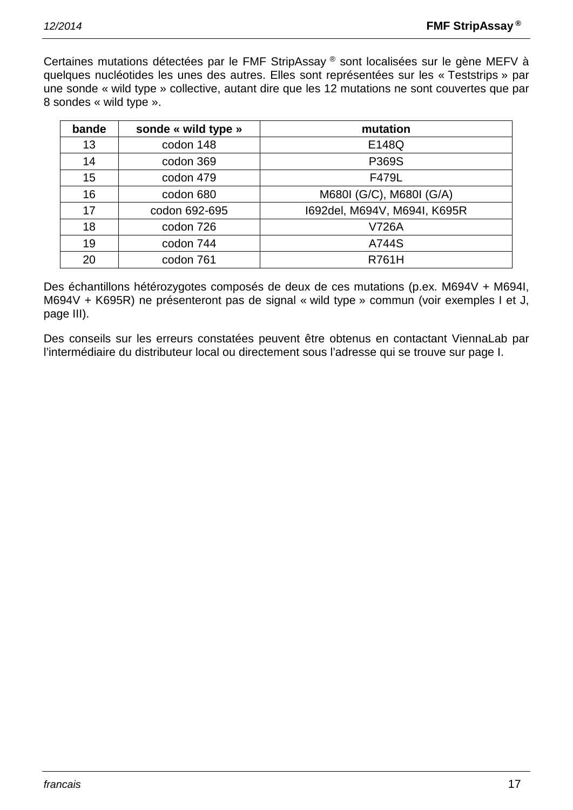Certaines mutations détectées par le FMF StripAssay ® sont localisées sur le gène MEFV à quelques nucléotides les unes des autres. Elles sont représentées sur les « Teststrips » par une sonde « wild type » collective, autant dire que les 12 mutations ne sont couvertes que par 8 sondes « wild type ».

| bande | sonde « wild type » | mutation                     |
|-------|---------------------|------------------------------|
| 13    | codon 148           | E148Q                        |
| 14    | codon 369           | P369S                        |
| 15    | codon 479           | F479L                        |
| 16    | codon 680           | M680I (G/C), M680I (G/A)     |
| 17    | codon 692-695       | 1692del, M694V, M694I, K695R |
| 18    | codon 726           | <b>V726A</b>                 |
| 19    | codon 744           | A744S                        |
| 20    | codon 761           | <b>R761H</b>                 |

Des échantillons hétérozygotes composés de deux de ces mutations (p.ex. M694V + M694I, M694V + K695R) ne présenteront pas de signal « wild type » commun (voir exemples I et J, page III).

Des conseils sur les erreurs constatées peuvent être obtenus en contactant ViennaLab par l'intermédiaire du distributeur local ou directement sous l'adresse qui se trouve sur page I.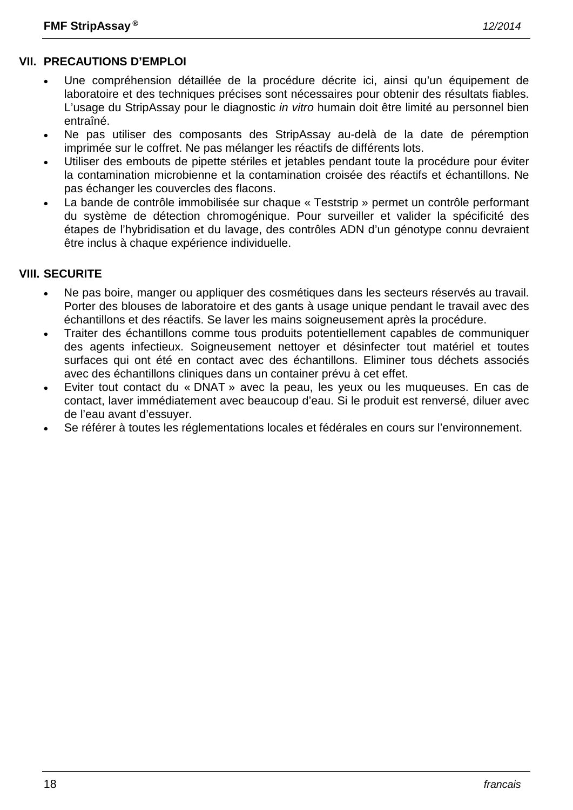# **VII. PRECAUTIONS D'EMPLOI**

- Une compréhension détaillée de la procédure décrite ici, ainsi qu'un équipement de laboratoire et des techniques précises sont nécessaires pour obtenir des résultats fiables. L'usage du StripAssay pour le diagnostic *in vitro* humain doit être limité au personnel bien entraîné.
- Ne pas utiliser des composants des StripAssay au-delà de la date de péremption imprimée sur le coffret. Ne pas mélanger les réactifs de différents lots.
- Utiliser des embouts de pipette stériles et jetables pendant toute la procédure pour éviter la contamination microbienne et la contamination croisée des réactifs et échantillons. Ne pas échanger les couvercles des flacons.
- La bande de contrôle immobilisée sur chaque « Teststrip » permet un contrôle performant du système de détection chromogénique. Pour surveiller et valider la spécificité des étapes de l'hybridisation et du lavage, des contrôles ADN d'un génotype connu devraient être inclus à chaque expérience individuelle.

#### **VIII. SECURITE**

- Ne pas boire, manger ou appliquer des cosmétiques dans les secteurs réservés au travail. Porter des blouses de laboratoire et des gants à usage unique pendant le travail avec des échantillons et des réactifs. Se laver les mains soigneusement après la procédure.
- Traiter des échantillons comme tous produits potentiellement capables de communiquer des agents infectieux. Soigneusement nettoyer et désinfecter tout matériel et toutes surfaces qui ont été en contact avec des échantillons. Eliminer tous déchets associés avec des échantillons cliniques dans un container prévu à cet effet.
- Eviter tout contact du « DNAT » avec la peau, les yeux ou les muqueuses. En cas de contact, laver immédiatement avec beaucoup d'eau. Si le produit est renversé, diluer avec de l'eau avant d'essuyer.
- Se référer à toutes les réglementations locales et fédérales en cours sur l'environnement.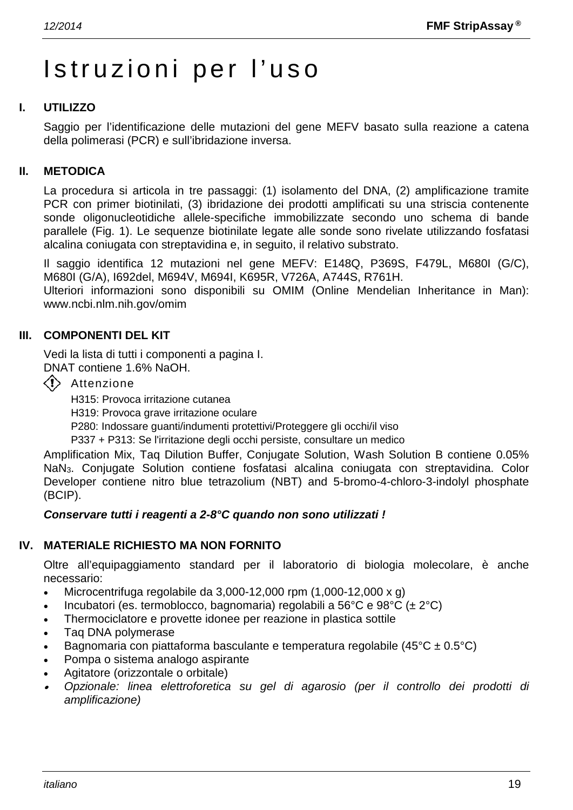# Istruzioni per l'uso

# **I. UTILIZZO**

Saggio per l'identificazione delle mutazioni del gene MEFV basato sulla reazione a catena della polimerasi (PCR) e sull'ibridazione inversa.

#### **II. METODICA**

La procedura si articola in tre passaggi: (1) isolamento del DNA, (2) amplificazione tramite PCR con primer biotinilati, (3) ibridazione dei prodotti amplificati su una striscia contenente sonde oligonucleotidiche allele-specifiche immobilizzate secondo uno schema di bande parallele (Fig. 1). Le sequenze biotinilate legate alle sonde sono rivelate utilizzando fosfatasi alcalina coniugata con streptavidina e, in seguito, il relativo substrato.

Il saggio identifica 12 mutazioni nel gene MEFV: E148Q, P369S, F479L, M680I (G/C), M680I (G/A), I692del, M694V, M694I, K695R, V726A, A744S, R761H.

Ulteriori informazioni sono disponibili su OMIM (Online Mendelian Inheritance in Man): www.ncbi.nlm.nih.gov/omim

#### **III. COMPONENTI DEL KIT**

Vedi la lista di tutti i componenti a pagina I. DNAT contiene 1.6% NaOH.

- 
- $\langle \cdot \rangle$  Attenzione

H315: Provoca irritazione cutanea

H319: Provoca grave irritazione oculare

P280: Indossare guanti/indumenti protettivi/Proteggere gli occhi/il viso

P337 + P313: Se l'irritazione degli occhi persiste, consultare un medico

Amplification Mix, Taq Dilution Buffer, Conjugate Solution, Wash Solution B contiene 0.05% NaN3. Conjugate Solution contiene fosfatasi alcalina coniugata con streptavidina. Color Developer contiene nitro blue tetrazolium (NBT) and 5-bromo-4-chloro-3-indolyl phosphate (BCIP).

#### *Conservare tutti i reagenti a 2-8°C quando non sono utilizzati !*

# **IV. MATERIALE RICHIESTO MA NON FORNITO**

Oltre all'equipaggiamento standard per il laboratorio di biologia molecolare, è anche necessario:

- Microcentrifuga regolabile da  $3,000-12,000$  rpm  $(1,000-12,000 \times g)$
- Incubatori (es. termoblocco, bagnomaria) regolabili a 56°C e 98°C (± 2°C)
- Thermociclatore e provette idonee per reazione in plastica sottile
- Taq DNA polymerase
- Bagnomaria con piattaforma basculante e temperatura regolabile (45 $^{\circ}$ C ± 0.5 $^{\circ}$ C)
- Pompa o sistema analogo aspirante
- Agitatore (orizzontale o orbitale)
- • *Opzionale: linea elettroforetica su gel di agarosio (per il controllo dei prodotti di amplificazione)*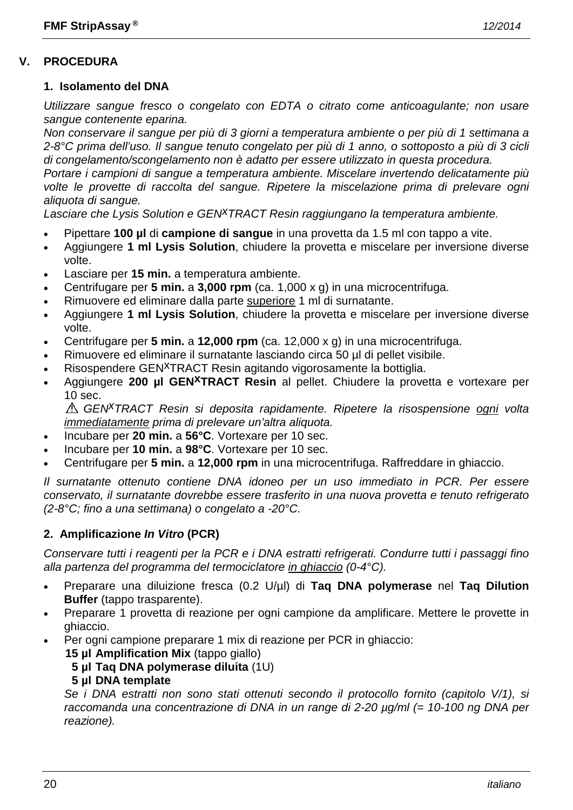#### **1. Isolamento del DNA**

*Utilizzare sangue fresco o congelato con EDTA o citrato come anticoagulante; non usare sangue contenente eparina.*

*Non conservare il sangue per più di 3 giorni a temperatura ambiente o per più di 1 settimana a 2-8°C prima dell'uso. Il sangue tenuto congelato per più di 1 anno, o sottoposto a più di 3 cicli di congelamento/scongelamento non è adatto per essere utilizzato in questa procedura.*

*Portare i campioni di sangue a temperatura ambiente. Miscelare invertendo delicatamente più volte le provette di raccolta del sangue. Ripetere la miscelazione prima di prelevare ogni aliquota di sangue.*

Lasciare che Lysis Solution e GEN<sup>X</sup>TRACT Resin raggiungano la temperatura ambiente.

- Pipettare **100 µl** di **campione di sangue** in una provetta da 1.5 ml con tappo a vite.
- Aggiungere **1 ml Lysis Solution**, chiudere la provetta e miscelare per inversione diverse volte.
- Lasciare per **15 min.** a temperatura ambiente.
- Centrifugare per **5 min.** a **3,000 rpm** (ca. 1,000 x g) in una microcentrifuga.
- Rimuovere ed eliminare dalla parte superiore 1 ml di surnatante.
- Aggiungere **1 ml Lysis Solution**, chiudere la provetta e miscelare per inversione diverse volte.
- Centrifugare per **5 min.** a **12,000 rpm** (ca. 12,000 x g) in una microcentrifuga.
- Rimuovere ed eliminare il surnatante lasciando circa 50 µl di pellet visibile.
- Risospendere GEN<sup>X</sup>TRACT Resin agitando vigorosamente la bottiglia.
- Aggiungere **200 µl GENxTRACT Resin** al pellet. Chiudere la provetta e vortexare per 10 sec.

*GENxTRACT Resin si deposita rapidamente. Ripetere la risospensione ogni volta immediatamente prima di prelevare un'altra aliquota.*

- Incubare per **20 min.** a **56°C**. Vortexare per 10 sec.
- Incubare per **10 min.** a **98°C**. Vortexare per 10 sec.
- Centrifugare per **5 min.** a **12,000 rpm** in una microcentrifuga. Raffreddare in ghiaccio.

*Il surnatante ottenuto contiene DNA idoneo per un uso immediato in PCR. Per essere conservato, il surnatante dovrebbe essere trasferito in una nuova provetta e tenuto refrigerato (2-8°C; fino a una settimana) o congelato a -20°C.*

#### **2. Amplificazione** *In Vitro* **(PCR)**

*Conservare tutti i reagenti per la PCR e i DNA estratti refrigerati. Condurre tutti i passaggi fino alla partenza del programma del termociclatore in ghiaccio (0-4°C).*

- Preparare una diluizione fresca (0.2 U/µl) di **Taq DNA polymerase** nel **Taq Dilution Buffer** (tappo trasparente).
- Preparare 1 provetta di reazione per ogni campione da amplificare. Mettere le provette in ghiaccio.
- Per ogni campione preparare 1 mix di reazione per PCR in ghiaccio:

**15 µl Amplification Mix** (tappo giallo)

**5 µl Taq DNA polymerase diluita** (1U)

#### **5 µl DNA template**

*Se i DNA estratti non sono stati ottenuti secondo il protocollo fornito (capitolo V/1), si raccomanda una concentrazione di DNA in un range di 2-20 µg/ml (= 10-100 ng DNA per reazione).*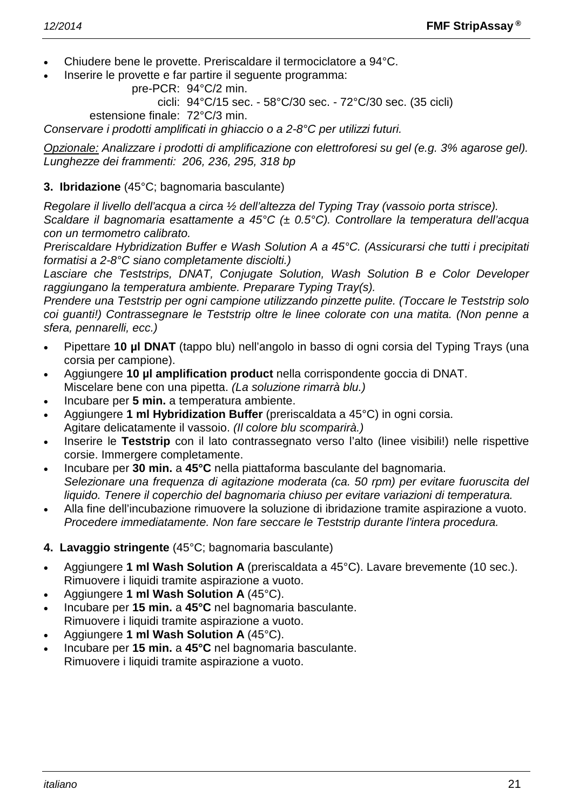- Chiudere bene le provette. Preriscaldare il termociclatore a 94°C.
- Inserire le provette e far partire il seguente programma:

```
pre-PCR: 94°C/2 min.
```
cicli: 94°C/15 sec. - 58°C/30 sec. - 72°C/30 sec. (35 cicli)

estensione finale: 72°C/3 min.

*Conservare i prodotti amplificati in ghiaccio o a 2-8°C per utilizzi futuri.*

*Opzionale: Analizzare i prodotti di amplificazione con elettroforesi su gel (e.g. 3% agarose gel). Lunghezze dei frammenti: 206, 236, 295, 318 bp*

#### **3. Ibridazione** (45°C; bagnomaria basculante)

*Regolare il livello dell'acqua a circa ½ dell'altezza del Typing Tray (vassoio porta strisce).*

*Scaldare il bagnomaria esattamente a 45°C (± 0.5°C). Controllare la temperatura dell'acqua con un termometro calibrato.*

*Preriscaldare Hybridization Buffer e Wash Solution A a 45°C. (Assicurarsi che tutti i precipitati formatisi a 2-8°C siano completamente disciolti.)*

*Lasciare che Teststrips, DNAT, Conjugate Solution, Wash Solution B e Color Developer raggiungano la temperatura ambiente. Preparare Typing Tray(s).*

*Prendere una Teststrip per ogni campione utilizzando pinzette pulite. (Toccare le Teststrip solo coi guanti!) Contrassegnare le Teststrip oltre le linee colorate con una matita. (Non penne a sfera, pennarelli, ecc.)*

- Pipettare **10 µl DNAT** (tappo blu) nell'angolo in basso di ogni corsia del Typing Trays (una corsia per campione).
- Aggiungere **10 µl amplification product** nella corrispondente goccia di DNAT. Miscelare bene con una pipetta. *(La soluzione rimarrà blu.)*
- Incubare per **5 min.** a temperatura ambiente.
- Aggiungere **1 ml Hybridization Buffer** (preriscaldata a 45°C) in ogni corsia. Agitare delicatamente il vassoio. *(Il colore blu scomparirà.)*
- Inserire le **Teststrip** con il lato contrassegnato verso l'alto (linee visibili!) nelle rispettive corsie. Immergere completamente.
- Incubare per **30 min.** a **45°C** nella piattaforma basculante del bagnomaria. *Selezionare una frequenza di agitazione moderata (ca. 50 rpm) per evitare fuoruscita del liquido. Tenere il coperchio del bagnomaria chiuso per evitare variazioni di temperatura.*
- Alla fine dell'incubazione rimuovere la soluzione di ibridazione tramite aspirazione a vuoto. *Procedere immediatamente. Non fare seccare le Teststrip durante l'intera procedura.*
- **4. Lavaggio stringente** (45°C; bagnomaria basculante)
- Aggiungere **1 ml Wash Solution A** (preriscaldata a 45°C). Lavare brevemente (10 sec.). Rimuovere i liquidi tramite aspirazione a vuoto.
- Aggiungere **1 ml Wash Solution A** (45°C).
- Incubare per **15 min.** a **45°C** nel bagnomaria basculante. Rimuovere i liquidi tramite aspirazione a vuoto.
- Aggiungere **1 ml Wash Solution A** (45°C).
- Incubare per **15 min.** a **45°C** nel bagnomaria basculante. Rimuovere i liquidi tramite aspirazione a vuoto.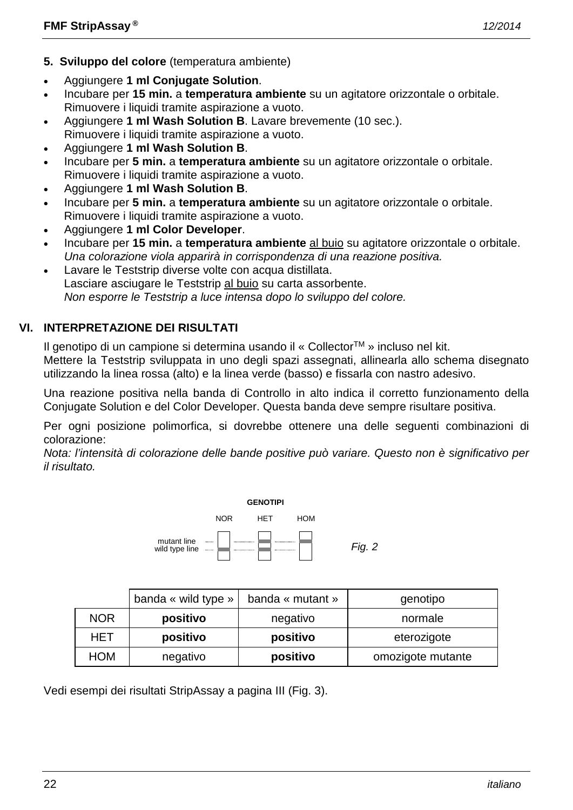- **5. Sviluppo del colore** (temperatura ambiente)
- Aggiungere **1 ml Conjugate Solution**.
- Incubare per **15 min.** a **temperatura ambiente** su un agitatore orizzontale o orbitale. Rimuovere i liquidi tramite aspirazione a vuoto.
- Aggiungere **1 ml Wash Solution B**. Lavare brevemente (10 sec.). Rimuovere i liquidi tramite aspirazione a vuoto.
- Aggiungere **1 ml Wash Solution B**.
- Incubare per **5 min.** a **temperatura ambiente** su un agitatore orizzontale o orbitale. Rimuovere i liquidi tramite aspirazione a vuoto.
- Aggiungere **1 ml Wash Solution B**.
- Incubare per **5 min.** a **temperatura ambiente** su un agitatore orizzontale o orbitale. Rimuovere i liquidi tramite aspirazione a vuoto.
- Aggiungere **1 ml Color Developer**.
- Incubare per **15 min.** a **temperatura ambiente** al buio su agitatore orizzontale o orbitale. *Una colorazione viola apparirà in corrispondenza di una reazione positiva.*
- Lavare le Teststrip diverse volte con acqua distillata. Lasciare asciugare le Teststrip al buio su carta assorbente. *Non esporre le Teststrip a luce intensa dopo lo sviluppo del colore.*

# **VI. INTERPRETAZIONE DEI RISULTATI**

Il genotipo di un campione si determina usando il « CollectorTM » incluso nel kit.

Mettere la Teststrip sviluppata in uno degli spazi assegnati, allinearla allo schema disegnato utilizzando la linea rossa (alto) e la linea verde (basso) e fissarla con nastro adesivo.

Una reazione positiva nella banda di Controllo in alto indica il corretto funzionamento della Conjugate Solution e del Color Developer. Questa banda deve sempre risultare positiva.

Per ogni posizione polimorfica, si dovrebbe ottenere una delle seguenti combinazioni di colorazione:

*Nota: l'intensità di colorazione delle bande positive può variare. Questo non è significativo per il risultato.*



|            | banda « wild type » | banda « mutant » | genotipo          |
|------------|---------------------|------------------|-------------------|
| <b>NOR</b> | positivo            | negativo         | normale           |
| HET        | positivo            | positivo         | eterozigote       |
| <b>HOM</b> | negativo            | positivo         | omozigote mutante |

Vedi esempi dei risultati StripAssay a pagina III (Fig. 3).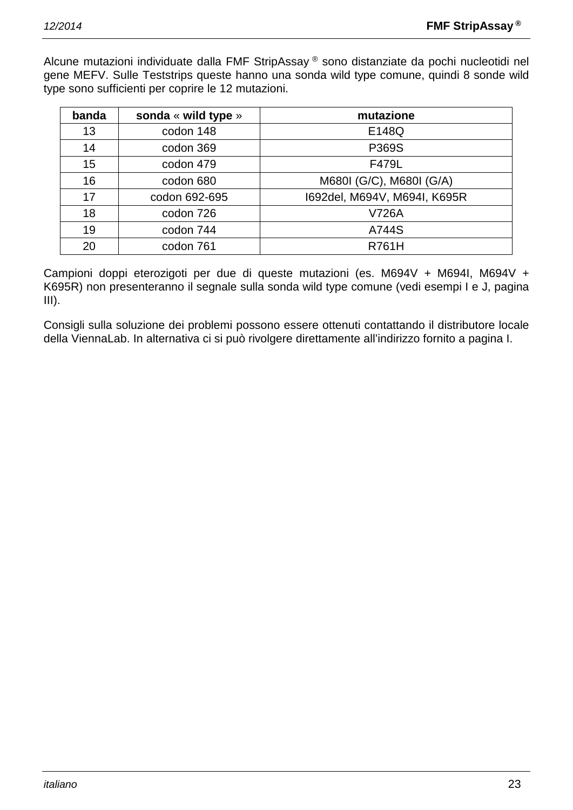Alcune mutazioni individuate dalla FMF StripAssay ® sono distanziate da pochi nucleotidi nel gene MEFV. Sulle Teststrips queste hanno una sonda wild type comune, quindi 8 sonde wild type sono sufficienti per coprire le 12 mutazioni.

| banda | sonda « wild type » | mutazione                    |
|-------|---------------------|------------------------------|
| 13    | codon 148           | E148Q                        |
| 14    | codon 369           | P369S                        |
| 15    | codon 479           | F479L                        |
| 16    | codon 680           | M680I (G/C), M680I (G/A)     |
| 17    | codon 692-695       | 1692del, M694V, M694I, K695R |
| 18    | codon 726           | V726A                        |
| 19    | codon 744           | A744S                        |
| 20    | codon 761           | <b>R761H</b>                 |

Campioni doppi eterozigoti per due di queste mutazioni (es. M694V + M694I, M694V + K695R) non presenteranno il segnale sulla sonda wild type comune (vedi esempi I e J, pagina  $III$ ).

Consigli sulla soluzione dei problemi possono essere ottenuti contattando il distributore locale della ViennaLab. In alternativa ci si può rivolgere direttamente all'indirizzo fornito a pagina I.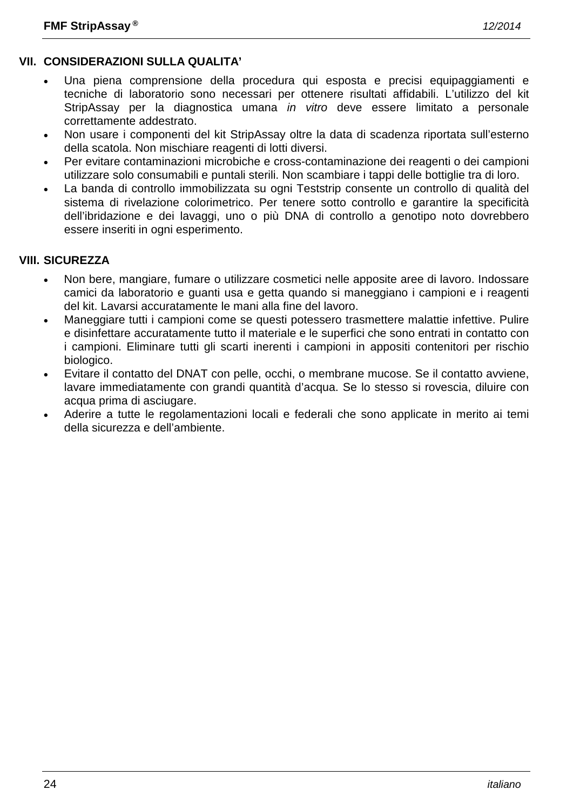# **VII. CONSIDERAZIONI SULLA QUALITA'**

- Una piena comprensione della procedura qui esposta e precisi equipaggiamenti e tecniche di laboratorio sono necessari per ottenere risultati affidabili. L'utilizzo del kit StripAssay per la diagnostica umana *in vitro* deve essere limitato a personale correttamente addestrato.
- Non usare i componenti del kit StripAssay oltre la data di scadenza riportata sull'esterno della scatola. Non mischiare reagenti di lotti diversi.
- Per evitare contaminazioni microbiche e cross-contaminazione dei reagenti o dei campioni utilizzare solo consumabili e puntali sterili. Non scambiare i tappi delle bottiglie tra di loro.
- La banda di controllo immobilizzata su ogni Teststrip consente un controllo di qualità del sistema di rivelazione colorimetrico. Per tenere sotto controllo e garantire la specificità dell'ibridazione e dei lavaggi, uno o più DNA di controllo a genotipo noto dovrebbero essere inseriti in ogni esperimento.

#### **VIII. SICUREZZA**

- Non bere, mangiare, fumare o utilizzare cosmetici nelle apposite aree di lavoro. Indossare camici da laboratorio e guanti usa e getta quando si maneggiano i campioni e i reagenti del kit. Lavarsi accuratamente le mani alla fine del lavoro.
- Maneggiare tutti i campioni come se questi potessero trasmettere malattie infettive. Pulire e disinfettare accuratamente tutto il materiale e le superfici che sono entrati in contatto con i campioni. Eliminare tutti gli scarti inerenti i campioni in appositi contenitori per rischio biologico.
- Evitare il contatto del DNAT con pelle, occhi, o membrane mucose. Se il contatto avviene, lavare immediatamente con grandi quantità d'acqua. Se lo stesso si rovescia, diluire con acqua prima di asciugare.
- Aderire a tutte le regolamentazioni locali e federali che sono applicate in merito ai temi della sicurezza e dell'ambiente.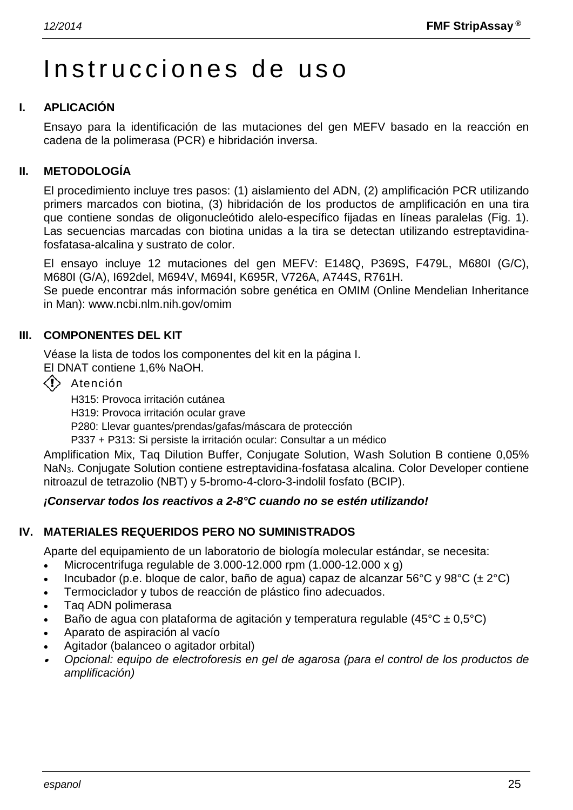# Instrucciones de uso

#### **I. APLICACIÓN**

Ensayo para la identificación de las mutaciones del gen MEFV basado en la reacción en cadena de la polimerasa (PCR) e hibridación inversa.

#### **II. METODOLOGÍA**

El procedimiento incluye tres pasos: (1) aislamiento del ADN, (2) amplificación PCR utilizando primers marcados con biotina, (3) hibridación de los productos de amplificación en una tira que contiene sondas de oligonucleótido alelo-específico fijadas en líneas paralelas (Fig. 1). Las secuencias marcadas con biotina unidas a la tira se detectan utilizando estreptavidinafosfatasa-alcalina y sustrato de color.

El ensayo incluye 12 mutaciones del gen MEFV: E148Q, P369S, F479L, M680I (G/C), M680I (G/A), I692del, M694V, M694I, K695R, V726A, A744S, R761H.

Se puede encontrar más información sobre genética en OMIM (Online Mendelian Inheritance in Man): www.ncbi.nlm.nih.gov/omim

#### **III. COMPONENTES DEL KIT**

Véase la lista de todos los componentes del kit en la página I.

El DNAT contiene 1,6% NaOH.

 $\langle \cdot \rangle$  Atención

H315: Provoca irritación cutánea

H319: Provoca irritación ocular grave

P280: Llevar guantes/prendas/gafas/máscara de protección

P337 + P313: Si persiste la irritación ocular: Consultar a un médico

Amplification Mix, Taq Dilution Buffer, Conjugate Solution, Wash Solution B contiene 0,05% NaN3. Conjugate Solution contiene estreptavidina-fosfatasa alcalina. Color Developer contiene nitroazul de tetrazolio (NBT) y 5-bromo-4-cloro-3-indolil fosfato (BCIP).

#### *¡Conservar todos los reactivos a 2-8°C cuando no se estén utilizando!*

#### **IV. MATERIALES REQUERIDOS PERO NO SUMINISTRADOS**

Aparte del equipamiento de un laboratorio de biología molecular estándar, se necesita:

- Microcentrifuga regulable de  $3.000-12.000$  rpm  $(1.000-12.000 \times g)$
- Incubador (p.e. bloque de calor, baño de agua) capaz de alcanzar 56°C y 98°C ( $\pm 2$ °C)
- Termociclador y tubos de reacción de plástico fino adecuados.
- Taq ADN polimerasa
- Baño de agua con plataforma de agitación y temperatura regulable (45 $\degree$ C ± 0,5 $\degree$ C)
- Aparato de aspiración al vacío
- Agitador (balanceo o agitador orbital)
- • *Opcional: equipo de electroforesis en gel de agarosa (para el control de los productos de amplificación)*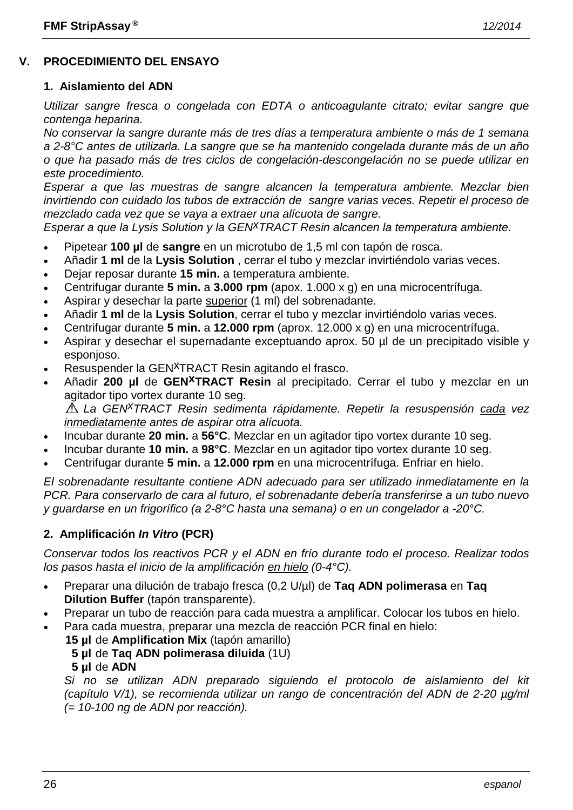# **V. PROCEDIMIENTO DEL ENSAYO**

#### **1. Aislamiento del ADN**

*Utilizar sangre fresca o congelada con EDTA o anticoagulante citrato; evitar sangre que contenga heparina.*

*No conservar la sangre durante más de tres días a temperatura ambiente o más de 1 semana a 2-8°C antes de utilizarla. La sangre que se ha mantenido congelada durante más de un año o que ha pasado más de tres ciclos de congelación-descongelación no se puede utilizar en este procedimiento.*

*Esperar a que las muestras de sangre alcancen la temperatura ambiente. Mezclar bien invirtiendo con cuidado los tubos de extracción de sangre varias veces. Repetir el proceso de mezclado cada vez que se vaya a extraer una alícuota de sangre.*

*Esperar a que la Lysis Solution y la GENxTRACT Resin alcancen la temperatura ambiente.*

- Pipetear **100 µl** de **sangre** en un microtubo de 1,5 ml con tapón de rosca.
- Añadir **1 ml** de la **Lysis Solution** , cerrar el tubo y mezclar invirtiéndolo varias veces.
- Dejar reposar durante **15 min.** a temperatura ambiente.
- Centrifugar durante **5 min.** a **3.000 rpm** (apox. 1.000 x g) en una microcentrífuga.
- Aspirar y desechar la parte superior (1 ml) del sobrenadante.
- Añadir **1 ml** de la **Lysis Solution**, cerrar el tubo y mezclar invirtiéndolo varias veces.
- Centrifugar durante **5 min.** a **12.000 rpm** (aprox. 12.000 x g) en una microcentrífuga.
- Aspirar y desechar el supernadante exceptuando aprox. 50 µl de un precipitado visible y esponjoso.
- Resuspender la GEN<sup>X</sup>TRACT Resin agitando el frasco.
- Añadir **200 µl** de **GENxTRACT Resin** al precipitado. Cerrar el tubo y mezclar en un agitador tipo vortex durante 10 seg.

*La GENxTRACT Resin sedimenta rápidamente. Repetir la resuspensión cada vez inmediatamente antes de aspirar otra alícuota.*

- Incubar durante **20 min.** a **56°C**. Mezclar en un agitador tipo vortex durante 10 seg.
- Incubar durante **10 min.** a **98°C**. Mezclar en un agitador tipo vortex durante 10 seg.
- Centrifugar durante **5 min.** a **12.000 rpm** en una microcentrífuga. Enfriar en hielo.

*El sobrenadante resultante contiene ADN adecuado para ser utilizado inmediatamente en la PCR. Para conservarlo de cara al futuro, el sobrenadante debería transferirse a un tubo nuevo y guardarse en un frigorífico (a 2-8°C hasta una semana) o en un congelador a -20°C.*

#### **2. Amplificación** *In Vitro* **(PCR)**

*Conservar todos los reactivos PCR y el ADN en frío durante todo el proceso. Realizar todos los pasos hasta el inicio de la amplificación en hielo (0-4°C).*

- Preparar una dilución de trabajo fresca (0,2 U/µl) de **Taq ADN polimerasa** en **Taq Dilution Buffer** (tapón transparente).
- Preparar un tubo de reacción para cada muestra a amplificar. Colocar los tubos en hielo.
- Para cada muestra, preparar una mezcla de reacción PCR final en hielo:
	- **15 µl** de **Amplification Mix** (tapón amarillo) **5 µl** de **Taq ADN polimerasa diluida** (1U) **5 µl** de **ADN**

*Si no se utilizan ADN preparado siguiendo el protocolo de aislamiento del kit (capítulo V/1), se recomienda utilizar un rango de concentración del ADN de 2-20 µg/ml (= 10-100 ng de ADN por reacción).*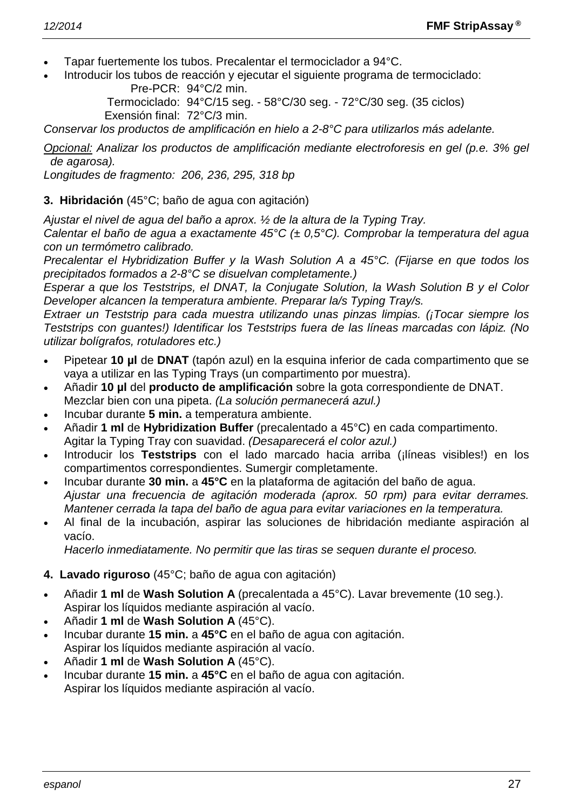- Tapar fuertemente los tubos. Precalentar el termociclador a 94°C.
- Introducir los tubos de reacción y ejecutar el siguiente programa de termociclado: Pre-PCR: 94°C/2 min.

Termociclado: 94°C/15 seg. - 58°C/30 seg. - 72°C/30 seg. (35 ciclos) Exensión final: 72°C/3 min.

*Conservar los productos de amplificación en hielo a 2-8°C para utilizarlos más adelante.*

*Opcional: Analizar los productos de amplificación mediante electroforesis en gel (p.e. 3% gel de agarosa).*

*Longitudes de fragmento: 206, 236, 295, 318 bp*

#### **3. Hibridación** (45°C; baño de agua con agitación)

*Ajustar el nivel de agua del baño a aprox. ½ de la altura de la Typing Tray.*

*Calentar el baño de agua a exactamente 45°C (± 0,5°C). Comprobar la temperatura del agua con un termómetro calibrado.*

*Precalentar el Hybridization Buffer y la Wash Solution A a 45°C. (Fijarse en que todos los precipitados formados a 2-8°C se disuelvan completamente.)*

*Esperar a que los Teststrips, el DNAT, la Conjugate Solution, la Wash Solution B y el Color Developer alcancen la temperatura ambiente. Preparar la/s Typing Tray/s.*

*Extraer un Teststrip para cada muestra utilizando unas pinzas limpias. (¡Tocar siempre los Teststrips con guantes!) Identificar los Teststrips fuera de las líneas marcadas con lápiz. (No utilizar bolígrafos, rotuladores etc.)*

- Pipetear **10 µl** de **DNAT** (tapón azul) en la esquina inferior de cada compartimento que se vaya a utilizar en las Typing Trays (un compartimento por muestra).
- Añadir **10 µl** del **producto de amplificación** sobre la gota correspondiente de DNAT. Mezclar bien con una pipeta. *(La solución permanecerá azul.)*
- Incubar durante **5 min.** a temperatura ambiente.
- Añadir **1 ml** de **Hybridization Buffer** (precalentado a 45°C) en cada compartimento. Agitar la Typing Tray con suavidad. *(Desaparecerá el color azul.)*
- Introducir los **Teststrips** con el lado marcado hacia arriba (¡líneas visibles!) en los compartimentos correspondientes. Sumergir completamente.
- Incubar durante **30 min.** a **45°C** en la plataforma de agitación del baño de agua. *Ajustar una frecuencia de agitación moderada (aprox. 50 rpm) para evitar derrames. Mantener cerrada la tapa del baño de agua para evitar variaciones en la temperatura.*
- Al final de la incubación, aspirar las soluciones de hibridación mediante aspiración al vacío.

*Hacerlo inmediatamente. No permitir que las tiras se sequen durante el proceso.*

#### **4. Lavado riguroso** (45°C; baño de agua con agitación)

- Añadir **1 ml** de **Wash Solution A** (precalentada a 45°C). Lavar brevemente (10 seg.). Aspirar los líquidos mediante aspiración al vacío.
- Añadir **1 ml** de **Wash Solution A** (45°C).
- Incubar durante **15 min.** a **45°C** en el baño de agua con agitación. Aspirar los líquidos mediante aspiración al vacío.
- Añadir **1 ml** de **Wash Solution A** (45°C).
- Incubar durante **15 min.** a **45°C** en el baño de agua con agitación. Aspirar los líquidos mediante aspiración al vacío.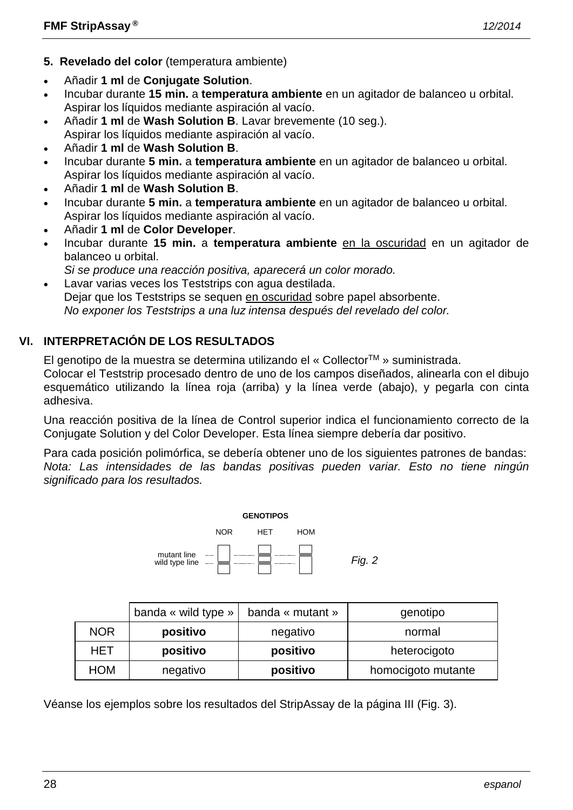- **5. Revelado del color** (temperatura ambiente)
- Añadir **1 ml** de **Conjugate Solution**.
- Incubar durante **15 min.** a **temperatura ambiente** en un agitador de balanceo u orbital. Aspirar los líquidos mediante aspiración al vacío.
- Añadir **1 ml** de **Wash Solution B**. Lavar brevemente (10 seg.). Aspirar los líquidos mediante aspiración al vacío.
- Añadir **1 ml** de **Wash Solution B**.
- Incubar durante **5 min.** a **temperatura ambiente** en un agitador de balanceo u orbital. Aspirar los líquidos mediante aspiración al vacío.
- Añadir **1 ml** de **Wash Solution B**.
- Incubar durante **5 min.** a **temperatura ambiente** en un agitador de balanceo u orbital. Aspirar los líquidos mediante aspiración al vacío.
- Añadir **1 ml** de **Color Developer**.
- Incubar durante **15 min.** a **temperatura ambiente** en la oscuridad en un agitador de balanceo u orbital.
- *Si se produce una reacción positiva, aparecerá un color morado.*
- Lavar varias veces los Teststrips con agua destilada. Dejar que los Teststrips se sequen en oscuridad sobre papel absorbente. *No exponer los Teststrips a una luz intensa después del revelado del color.*

# **VI. INTERPRETACIÓN DE LOS RESULTADOS**

El genotipo de la muestra se determina utilizando el « CollectorTM » suministrada.

Colocar el Teststrip procesado dentro de uno de los campos diseñados, alinearla con el dibujo esquemático utilizando la línea roja (arriba) y la línea verde (abajo), y pegarla con cinta adhesiva.

Una reacción positiva de la línea de Control superior indica el funcionamiento correcto de la Conjugate Solution y del Color Developer. Esta línea siempre debería dar positivo.

Para cada posición polimórfica, se debería obtener uno de los siguientes patrones de bandas: *Nota: Las intensidades de las bandas positivas pueden variar. Esto no tiene ningún significado para los resultados.*



|            | banda « wild type » | banda « mutant » | genotipo           |
|------------|---------------------|------------------|--------------------|
| <b>NOR</b> | positivo            | negativo         | normal             |
| HET        | positivo            | positivo         | heterocigoto       |
| <b>HOM</b> | negativo            | positivo         | homocigoto mutante |

Véanse los ejemplos sobre los resultados del StripAssay de la página III (Fig. 3).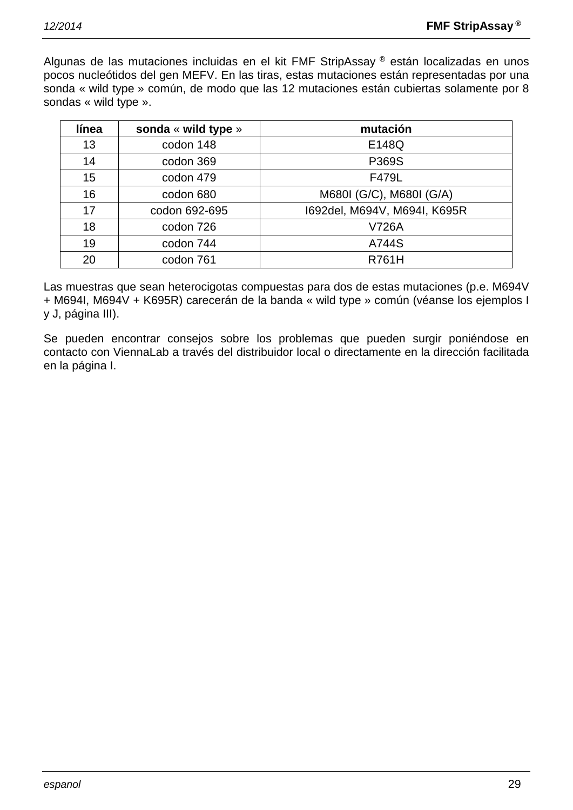Algunas de las mutaciones incluidas en el kit FMF StripAssay ® están localizadas en unos pocos nucleótidos del gen MEFV. En las tiras, estas mutaciones están representadas por una sonda « wild type » común, de modo que las 12 mutaciones están cubiertas solamente por 8 sondas « wild type ».

| línea | sonda « wild type » | mutación                     |
|-------|---------------------|------------------------------|
| 13    | codon 148           | E148Q                        |
| 14    | codon 369           | P369S                        |
| 15    | codon 479           | F479L                        |
| 16    | codon 680           | M680I (G/C), M680I (G/A)     |
| 17    | codon 692-695       | 1692del, M694V, M694I, K695R |
| 18    | codon 726           | V726A                        |
| 19    | codon 744           | A744S                        |
| 20    | codon 761           | <b>R761H</b>                 |

Las muestras que sean heterocigotas compuestas para dos de estas mutaciones (p.e. M694V + M694I, M694V + K695R) carecerán de la banda « wild type » común (véanse los ejemplos I y J, página III).

Se pueden encontrar consejos sobre los problemas que pueden surgir poniéndose en contacto con ViennaLab a través del distribuidor local o directamente en la dirección facilitada en la página I.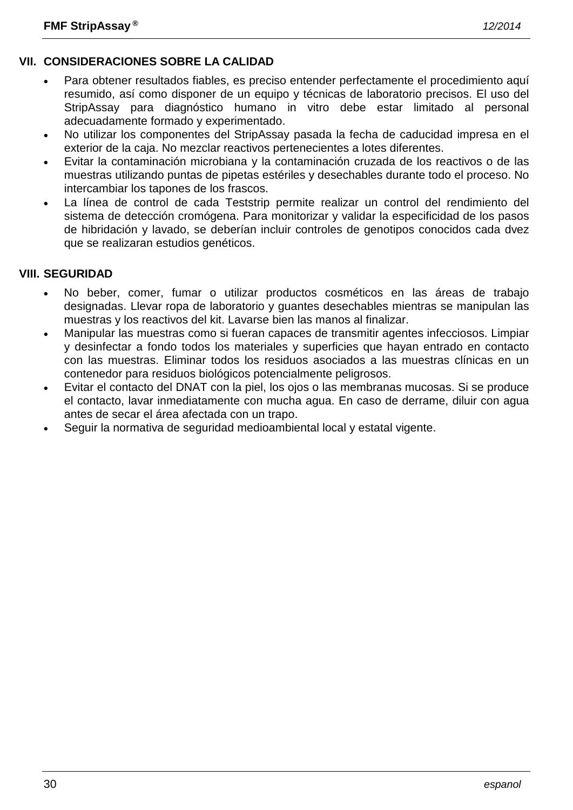# **VII. CONSIDERACIONES SOBRE LA CALIDAD**

- Para obtener resultados fiables, es preciso entender perfectamente el procedimiento aquí resumido, así como disponer de un equipo y técnicas de laboratorio precisos. El uso del StripAssay para diagnóstico humano in vitro debe estar limitado al personal adecuadamente formado y experimentado.
- No utilizar los componentes del StripAssay pasada la fecha de caducidad impresa en el exterior de la caja. No mezclar reactivos pertenecientes a lotes diferentes.
- Evitar la contaminación microbiana y la contaminación cruzada de los reactivos o de las muestras utilizando puntas de pipetas estériles y desechables durante todo el proceso. No intercambiar los tapones de los frascos.
- La línea de control de cada Teststrip permite realizar un control del rendimiento del sistema de detección cromógena. Para monitorizar y validar la especificidad de los pasos de hibridación y lavado, se deberían incluir controles de genotipos conocidos cada dvez que se realizaran estudios genéticos.

# **VIII. SEGURIDAD**

- No beber, comer, fumar o utilizar productos cosméticos en las áreas de trabajo designadas. Llevar ropa de laboratorio y guantes desechables mientras se manipulan las muestras y los reactivos del kit. Lavarse bien las manos al finalizar.
- Manipular las muestras como si fueran capaces de transmitir agentes infecciosos. Limpiar y desinfectar a fondo todos los materiales y superficies que hayan entrado en contacto con las muestras. Eliminar todos los residuos asociados a las muestras clínicas en un contenedor para residuos biológicos potencialmente peligrosos.
- Evitar el contacto del DNAT con la piel, los ojos o las membranas mucosas. Si se produce el contacto, lavar inmediatamente con mucha agua. En caso de derrame, diluir con agua antes de secar el área afectada con un trapo.
- Seguir la normativa de seguridad medioambiental local y estatal vigente.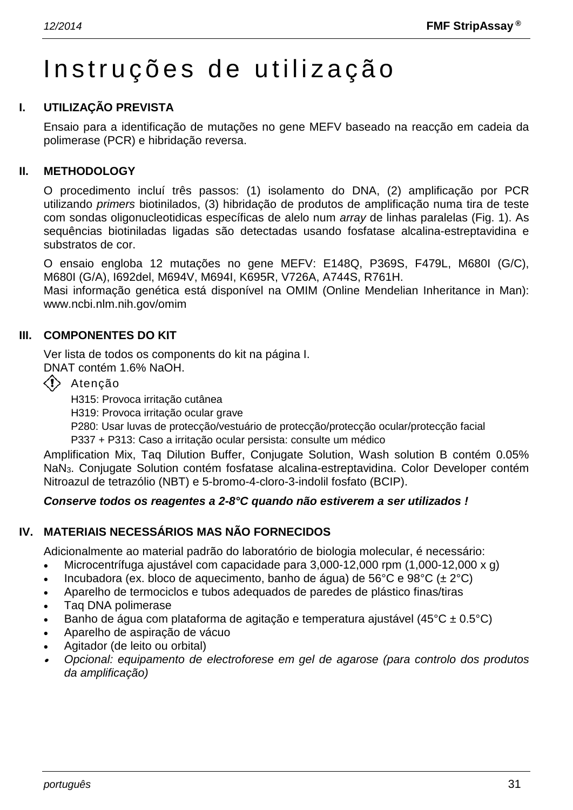# Instruções de utilização

# **I. UTILIZAÇÃO PREVISTA**

Ensaio para a identificação de mutações no gene MEFV baseado na reacção em cadeia da polimerase (PCR) e hibridação reversa.

#### **II. METHODOLOGY**

O procedimento incluí três passos: (1) isolamento do DNA, (2) amplificação por PCR utilizando *primers* biotinilados, (3) hibridação de produtos de amplificação numa tira de teste com sondas oligonucleotidicas específicas de alelo num *array* de linhas paralelas (Fig. 1). As sequências biotiniladas ligadas são detectadas usando fosfatase alcalina-estreptavidina e substratos de cor.

O ensaio engloba 12 mutações no gene MEFV: E148Q, P369S, F479L, M680I (G/C), M680I (G/A), I692del, M694V, M694I, K695R, V726A, A744S, R761H.

Masi informação genética está disponível na OMIM (Online Mendelian Inheritance in Man): www.ncbi.nlm.nih.gov/omim

#### **III. COMPONENTES DO KIT**

Ver lista de todos os components do kit na página I.

DNAT contém 1.6% NaOH.

 $\langle \cdot \rangle$  Atenção

H315: Provoca irritação cutânea

H319: Provoca irritação ocular grave

P280: Usar luvas de protecção/vestuário de protecção/protecção ocular/protecção facial

P337 + P313: Caso a irritação ocular persista: consulte um médico

Amplification Mix, Taq Dilution Buffer, Conjugate Solution, Wash solution B contém 0.05% NaN3. Conjugate Solution contém fosfatase alcalina-estreptavidina. Color Developer contém Nitroazul de tetrazólio (NBT) e 5-bromo-4-cloro-3-indolil fosfato (BCIP).

#### *Conserve todos os reagentes a 2-8°C quando não estiverem a ser utilizados !*

#### **IV. MATERIAIS NECESSÁRIOS MAS NÃO FORNECIDOS**

Adicionalmente ao material padrão do laboratório de biologia molecular, é necessário:

- Microcentrífuga ajustável com capacidade para 3,000-12,000 rpm (1,000-12,000 x g)
- Incubadora (ex. bloco de aquecimento, banho de água) de 56°C e 98°C ( $\pm 2$ °C)
- Aparelho de termociclos e tubos adequados de paredes de plástico finas/tiras
- Taq DNA polimerase
- Banho de água com plataforma de agitação e temperatura ajustável (45°C ± 0.5°C)
- Aparelho de aspiração de vácuo
- Agitador (de leito ou orbital)
- • *Opcional: equipamento de electroforese em gel de agarose (para controlo dos produtos da amplificação)*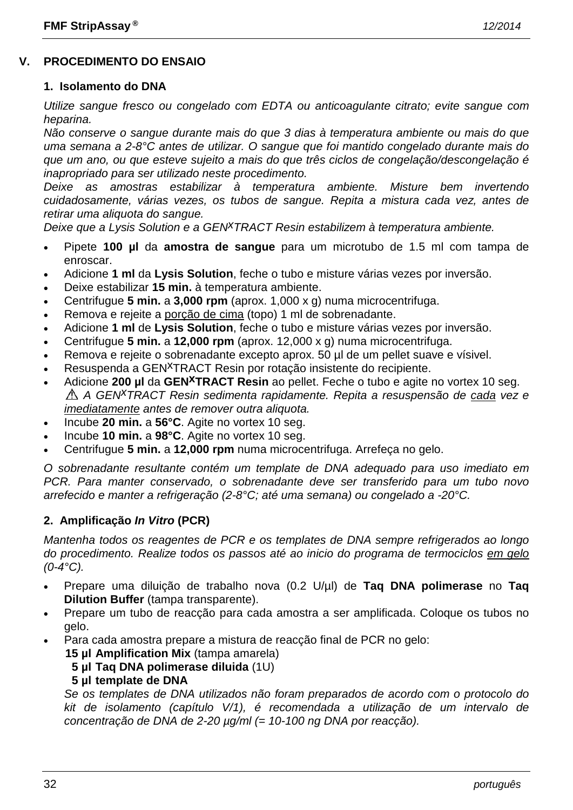# **V. PROCEDIMENTO DO ENSAIO**

#### **1. Isolamento do DNA**

*Utilize sangue fresco ou congelado com EDTA ou anticoagulante citrato; evite sangue com heparina.*

*Não conserve o sangue durante mais do que 3 dias à temperatura ambiente ou mais do que uma semana a 2-8°C antes de utilizar. O sangue que foi mantido congelado durante mais do que um ano, ou que esteve sujeito a mais do que três ciclos de congelação/descongelação é inapropriado para ser utilizado neste procedimento.*

*Deixe as amostras estabilizar à temperatura ambiente. Misture bem invertendo cuidadosamente, várias vezes, os tubos de sangue. Repita a mistura cada vez, antes de retirar uma aliquota do sangue.*

*Deixe que a Lysis Solution e a GENxTRACT Resin estabilizem à temperatura ambiente.*

- Pipete **100 µl** da **amostra de sangue** para um microtubo de 1.5 ml com tampa de enroscar.
- Adicione **1 ml** da **Lysis Solution**, feche o tubo e misture várias vezes por inversão.
- Deixe estabilizar **15 min.** à temperatura ambiente.
- Centrifugue **5 min.** a **3,000 rpm** (aprox. 1,000 x g) numa microcentrifuga.
- Remova e rejeite a porção de cima (topo) 1 ml de sobrenadante.
- Adicione **1 ml** de **Lysis Solution**, feche o tubo e misture várias vezes por inversão.
- Centrifugue **5 min.** a **12,000 rpm** (aprox. 12,000 x g) numa microcentrifuga.
- Remova e rejeite o sobrenadante excepto aprox. 50 µl de um pellet suave e vísivel.
- Resuspenda a GEN<sup>X</sup>TRACT Resin por rotação insistente do recipiente.
- Adicione **200 µl** da **GENxTRACT Resin** ao pellet. Feche o tubo e agite no vortex 10 seg. *A GENxTRACT Resin sedimenta rapidamente. Repita a resuspensão de cada vez e imediatamente antes de remover outra aliquota.*
- Incube **20 min.** a **56°C**. Agite no vortex 10 seg.
- Incube **10 min.** a **98°C**. Agite no vortex 10 seg.
- Centrifugue **5 min.** a **12,000 rpm** numa microcentrifuga. Arrefeça no gelo.

*O sobrenadante resultante contém um template de DNA adequado para uso imediato em PCR. Para manter conservado, o sobrenadante deve ser transferido para um tubo novo arrefecido e manter a refrigeração (2-8°C; até uma semana) ou congelado a -20°C.*

#### **2. Amplificação** *In Vitro* **(PCR)**

*Mantenha todos os reagentes de PCR e os templates de DNA sempre refrigerados ao longo do procedimento. Realize todos os passos até ao inicio do programa de termociclos em gelo (0-4°C).*

- Prepare uma diluição de trabalho nova (0.2 U/µl) de **Taq DNA polimerase** no **Taq Dilution Buffer** (tampa transparente).
- Prepare um tubo de reacção para cada amostra a ser amplificada. Coloque os tubos no gelo.
- Para cada amostra prepare a mistura de reacção final de PCR no gelo:

**15 µl Amplification Mix** (tampa amarela)

## **5 µl Taq DNA polimerase diluida** (1U)

#### **5 µl template de DNA**

*Se os templates de DNA utilizados não foram preparados de acordo com o protocolo do kit de isolamento (capítulo V/1), é recomendada a utilização de um intervalo de concentração de DNA de 2-20 µg/ml (= 10-100 ng DNA por reacção).*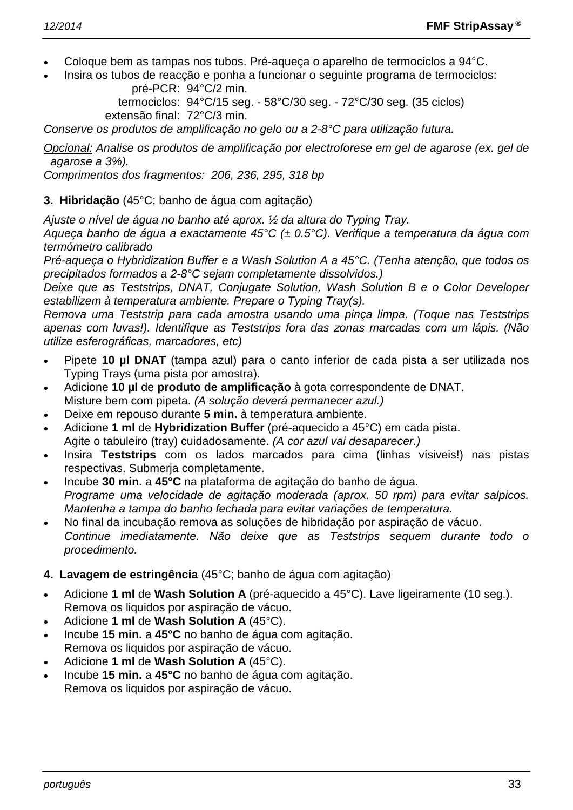- Coloque bem as tampas nos tubos. Pré-aqueça o aparelho de termociclos a 94°C.
- Insira os tubos de reacção e ponha a funcionar o seguinte programa de termociclos: pré-PCR: 94°C/2 min.

termociclos: 94°C/15 seg. - 58°C/30 seg. - 72°C/30 seg. (35 ciclos) extensão final: 72°C/3 min.

*Conserve os produtos de amplificação no gelo ou a 2-8°C para utilização futura.*

*Opcional: Analise os produtos de amplificação por electroforese em gel de agarose (ex. gel de agarose a 3%).*

*Comprimentos dos fragmentos: 206, 236, 295, 318 bp*

#### **3. Hibridação** (45°C; banho de água com agitação)

*Ajuste o nível de água no banho até aprox. ½ da altura do Typing Tray.*

*Aqueça banho de água a exactamente 45°C (± 0.5°C). Verifique a temperatura da água com termómetro calibrado*

*Pré-aqueça o Hybridization Buffer e a Wash Solution A a 45°C. (Tenha atenção, que todos os precipitados formados a 2-8°C sejam completamente dissolvidos.)*

*Deixe que as Teststrips, DNAT, Conjugate Solution, Wash Solution B e o Color Developer estabilizem à temperatura ambiente. Prepare o Typing Tray(s).*

*Remova uma Teststrip para cada amostra usando uma pinça limpa. (Toque nas Teststrips apenas com luvas!). Identifique as Teststrips fora das zonas marcadas com um lápis. (Não utilize esferográficas, marcadores, etc)*

- Pipete **10 µl DNAT** (tampa azul) para o canto inferior de cada pista a ser utilizada nos Typing Trays (uma pista por amostra).
- Adicione **10 µl** de **produto de amplificação** à gota correspondente de DNAT. Misture bem com pipeta. *(A solução deverá permanecer azul.)*
- Deixe em repouso durante **5 min.** à temperatura ambiente.
- Adicione **1 ml** de **Hybridization Buffer** (pré-aquecido a 45°C) em cada pista. Agite o tabuleiro (tray) cuidadosamente. *(A cor azul vai desaparecer.)*
- Insira **Teststrips** com os lados marcados para cima (linhas vísiveis!) nas pistas respectivas. Submerja completamente.
- Incube **30 min.** a **45°C** na plataforma de agitação do banho de água. *Programe uma velocidade de agitação moderada (aprox. 50 rpm) para evitar salpicos. Mantenha a tampa do banho fechada para evitar variações de temperatura.*
- No final da incubação remova as soluções de hibridação por aspiração de vácuo. *Continue imediatamente. Não deixe que as Teststrips sequem durante todo o procedimento.*

#### **4. Lavagem de estringência** (45°C; banho de água com agitação)

- Adicione **1 ml** de **Wash Solution A** (pré-aquecido a 45°C). Lave ligeiramente (10 seg.). Remova os liquidos por aspiração de vácuo.
- Adicione **1 ml** de **Wash Solution A** (45°C).
- Incube **15 min.** a **45°C** no banho de água com agitação. Remova os liquidos por aspiração de vácuo.
- Adicione **1 ml** de **Wash Solution A** (45°C).
- Incube **15 min.** a **45°C** no banho de água com agitação. Remova os liquidos por aspiração de vácuo.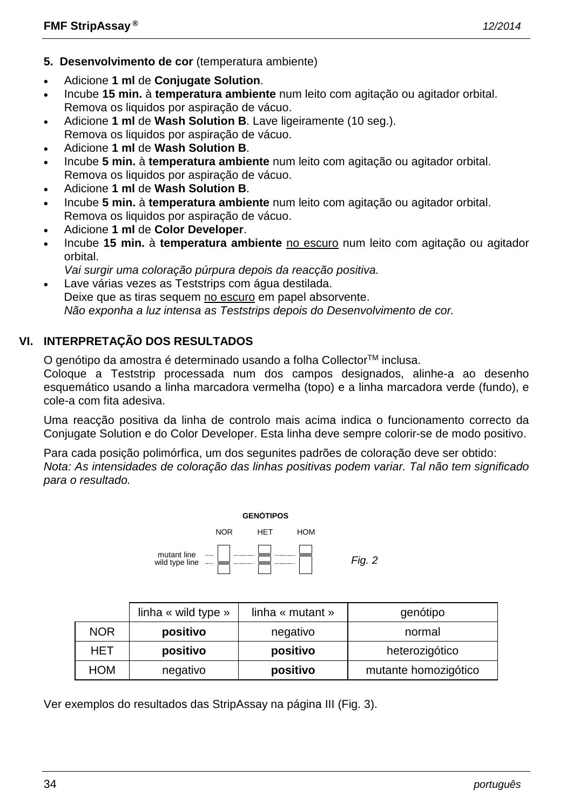- **5. Desenvolvimento de cor** (temperatura ambiente)
- Adicione **1 ml** de **Conjugate Solution**.
- Incube **15 min.** à **temperatura ambiente** num leito com agitação ou agitador orbital. Remova os liquidos por aspiração de vácuo.
- Adicione **1 ml** de **Wash Solution B**. Lave ligeiramente (10 seg.). Remova os liquidos por aspiração de vácuo.
- Adicione **1 ml** de **Wash Solution B**.
- Incube **5 min.** à **temperatura ambiente** num leito com agitação ou agitador orbital. Remova os liquidos por aspiração de vácuo.
- Adicione **1 ml** de **Wash Solution B**.
- Incube **5 min.** à **temperatura ambiente** num leito com agitação ou agitador orbital. Remova os liquidos por aspiração de vácuo.
- Adicione **1 ml** de **Color Developer**.
- Incube **15 min.** à **temperatura ambiente** no escuro num leito com agitação ou agitador orbital.
- *Vai surgir uma coloração púrpura depois da reacção positiva.*
- Lave várias vezes as Teststrips com água destilada. Deixe que as tiras sequem no escuro em papel absorvente. *Não exponha a luz intensa as Teststrips depois do Desenvolvimento de cor.*

# **VI. INTERPRETAÇÃO DOS RESULTADOS**

O genótipo da amostra é determinado usando a folha Collector<sup>™</sup> inclusa.

Coloque a Teststrip processada num dos campos designados, alinhe-a ao desenho esquemático usando a linha marcadora vermelha (topo) e a linha marcadora verde (fundo), e cole-a com fita adesiva.

Uma reacção positiva da linha de controlo mais acima indica o funcionamento correcto da Conjugate Solution e do Color Developer. Esta linha deve sempre colorir-se de modo positivo.

Para cada posição polimórfica, um dos segunites padrões de coloração deve ser obtido: *Nota: As intensidades de coloração das linhas positivas podem variar. Tal não tem significado para o resultado.*



|            | linha « wild type » | linha « mutant » | genótipo             |
|------------|---------------------|------------------|----------------------|
| <b>NOR</b> | positivo            | negativo         | normal               |
| HET        | positivo            | positivo         | heterozigótico       |
| HOM        | negativo            | positivo         | mutante homozigótico |

Ver exemplos do resultados das StripAssay na página III (Fig. 3).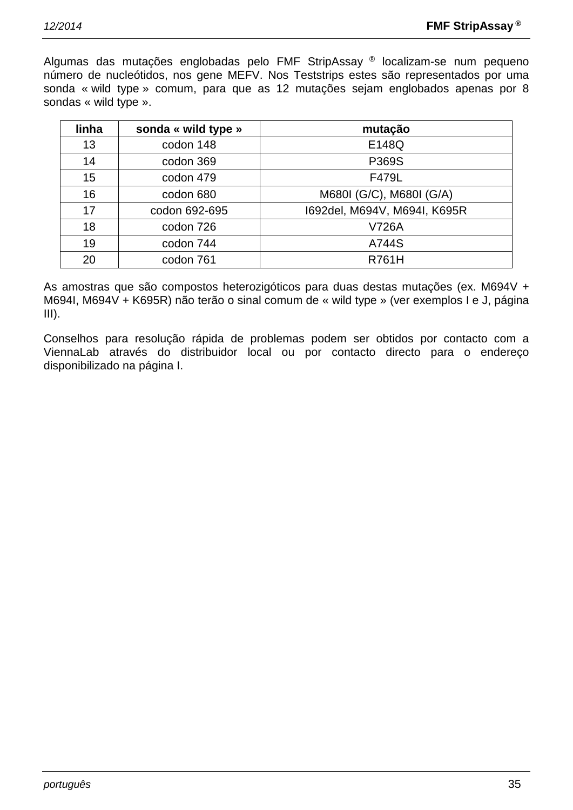Algumas das mutações englobadas pelo FMF StripAssay ® localizam-se num pequeno número de nucleótidos, nos gene MEFV. Nos Teststrips estes são representados por uma sonda « wild type » comum, para que as 12 mutações sejam englobados apenas por 8 sondas « wild type ».

| linha | sonda « wild type » | mutação                      |
|-------|---------------------|------------------------------|
| 13    | codon 148           | E148Q                        |
| 14    | codon 369           | P369S                        |
| 15    | codon 479           | F479L                        |
| 16    | codon 680           | M680I (G/C), M680I (G/A)     |
| 17    | codon 692-695       | 1692del, M694V, M694I, K695R |
| 18    | codon 726           | <b>V726A</b>                 |
| 19    | codon 744           | A744S                        |
| 20    | codon 761           | <b>R761H</b>                 |

As amostras que são compostos heterozigóticos para duas destas mutações (ex. M694V + M694I, M694V + K695R) não terão o sinal comum de « wild type » (ver exemplos I e J, página  $III$ ).

Conselhos para resolução rápida de problemas podem ser obtidos por contacto com a ViennaLab através do distribuidor local ou por contacto directo para o endereço disponibilizado na página I.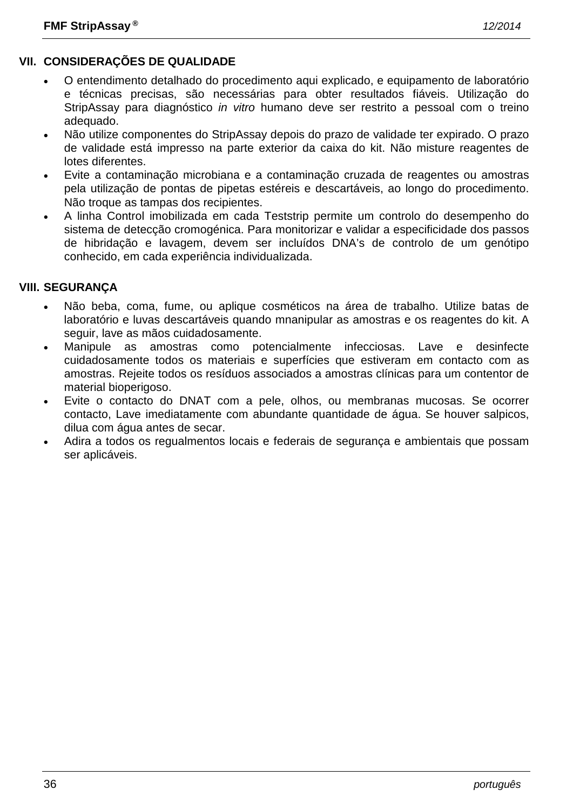# **VII. CONSIDERAÇÕES DE QUALIDADE**

- O entendimento detalhado do procedimento aqui explicado, e equipamento de laboratório e técnicas precisas, são necessárias para obter resultados fiáveis. Utilização do StripAssay para diagnóstico *in vitro* humano deve ser restrito a pessoal com o treino adequado.
- Não utilize componentes do StripAssay depois do prazo de validade ter expirado. O prazo de validade está impresso na parte exterior da caixa do kit. Não misture reagentes de lotes diferentes.
- Evite a contaminação microbiana e a contaminação cruzada de reagentes ou amostras pela utilização de pontas de pipetas estéreis e descartáveis, ao longo do procedimento. Não troque as tampas dos recipientes.
- A linha Control imobilizada em cada Teststrip permite um controlo do desempenho do sistema de detecção cromogénica. Para monitorizar e validar a especificidade dos passos de hibridação e lavagem, devem ser incluídos DNA's de controlo de um genótipo conhecido, em cada experiência individualizada.

#### **VIII. SEGURANÇA**

- Não beba, coma, fume, ou aplique cosméticos na área de trabalho. Utilize batas de laboratório e luvas descartáveis quando mnanipular as amostras e os reagentes do kit. A seguir, lave as mãos cuidadosamente.
- Manipule as amostras como potencialmente infecciosas. Lave e desinfecte cuidadosamente todos os materiais e superfícies que estiveram em contacto com as amostras. Rejeite todos os resíduos associados a amostras clínicas para um contentor de material bioperigoso.
- Evite o contacto do DNAT com a pele, olhos, ou membranas mucosas. Se ocorrer contacto, Lave imediatamente com abundante quantidade de água. Se houver salpicos, dilua com água antes de secar.
- Adira a todos os regualmentos locais e federais de segurança e ambientais que possam ser aplicáveis.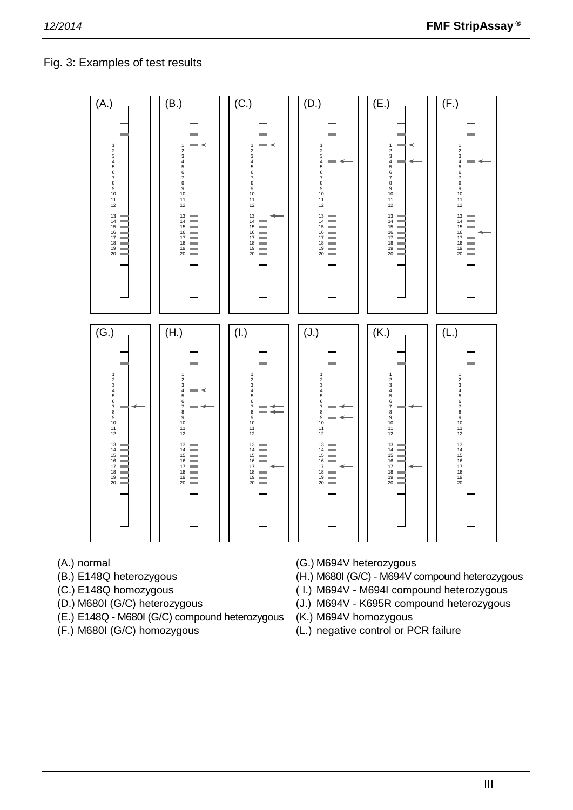# Fig. 3: Examples of test results



- 
- 
- 
- 
- (E.) E148Q M680I (G/C) compound heterozygous (K.) M694V homozygous
- 
- (A.) normal (G.) M694V heterozygous
- (B.) E148Q heterozygous (H.) M680I (G/C) M694V compound heterozygous
- (C.) E148Q homozygous ( I.) M694V M694I compound heterozygous
- (D.) M680I (G/C) heterozygous (J.) M694V K695R compound heterozygous
	-
- (F.) M680I (G/C) homozygous (L.) negative control or PCR failure